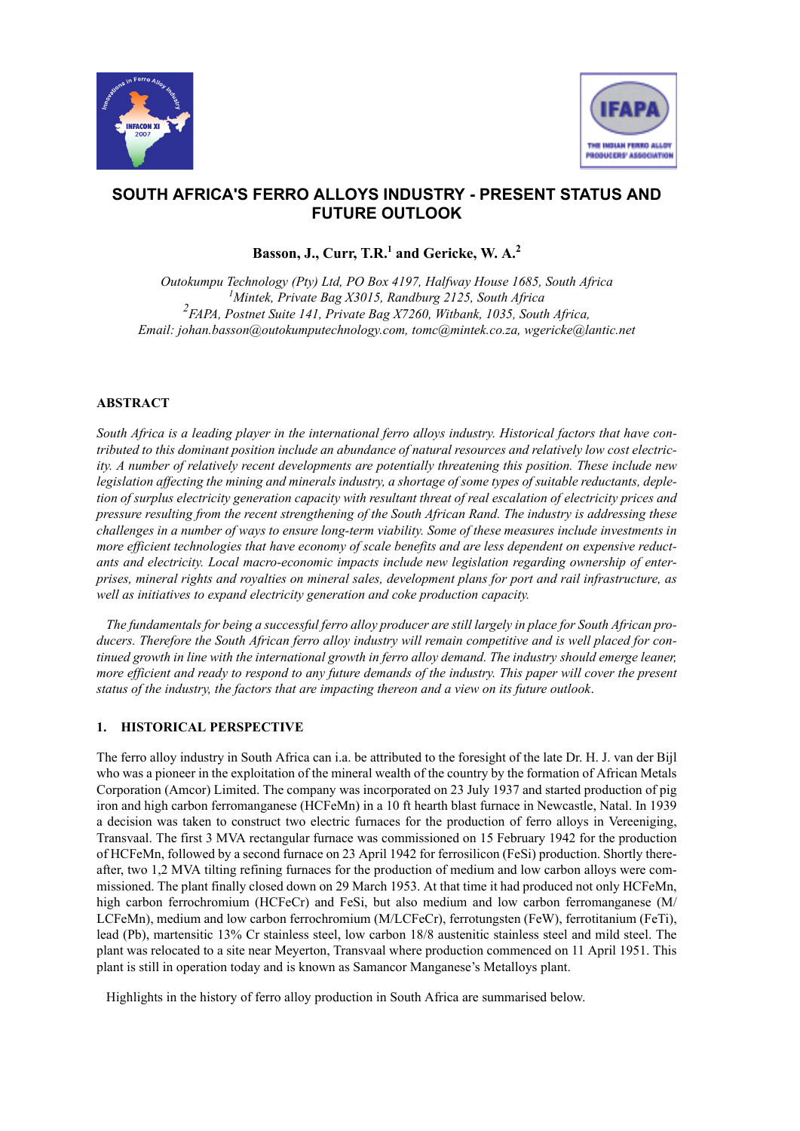



# **SOUTH AFRICA'S FERRO ALLOYS INDUSTRY - PRESENT STATUS AND FUTURE OUTLOOK**

Basson, J., Curr, T.R.<sup>1</sup> and Gericke, W. A.<sup>2</sup>

*Outokumpu Technology (Pty) Ltd, PO Box 4197, Halfway House 1685, South Africa* <sup>1</sup> Mintek, Private Bag X3015, Randburg 2125, South Africa<br><sup>2</sup> E4B4, Bostnat Suite 141, Bringto Bag Y7260, Withank, 1025, South *FAPA, Postnet Suite 141, Private Bag X7260, Witbank, 1035, South Africa, Email: johan.basson@outokumputechnology.com, tomc@mintek.co.za, wgericke@lantic.net*

# **ABSTRACT**

*South Africa is a leading player in the international ferro alloys industry. Historical factors that have contributed to this dominant position include an abundance of natural resources and relatively low cost electricity. A number of relatively recent developments are potentially threatening this position. These include new legislation affecting the mining and minerals industry, a shortage of some types of suitable reductants, depletion of surplus electricity generation capacity with resultant threat of real escalation of electricity prices and pressure resulting from the recent strengthening of the South African Rand. The industry is addressing these challenges in a number of ways to ensure long-term viability. Some of these measures include investments in more efficient technologies that have economy of scale benefits and are less dependent on expensive reductants and electricity. Local macro-economic impacts include new legislation regarding ownership of enterprises, mineral rights and royalties on mineral sales, development plans for port and rail infrastructure, as well as initiatives to expand electricity generation and coke production capacity.*

*The fundamentals for being a successful ferro alloy producer are still largely in place for South African producers. Therefore the South African ferro alloy industry will remain competitive and is well placed for continued growth in line with the international growth in ferro alloy demand. The industry should emerge leaner, more efficient and ready to respond to any future demands of the industry. This paper will cover the present status of the industry, the factors that are impacting thereon and a view on its future outlook*.

# **1. HISTORICAL PERSPECTIVE**

The ferro alloy industry in South Africa can i.a. be attributed to the foresight of the late Dr. H. J. van der Bijl who was a pioneer in the exploitation of the mineral wealth of the country by the formation of African Metals Corporation (Amcor) Limited. The company was incorporated on 23 July 1937 and started production of pig iron and high carbon ferromanganese (HCFeMn) in a 10 ft hearth blast furnace in Newcastle, Natal. In 1939 a decision was taken to construct two electric furnaces for the production of ferro alloys in Vereeniging, Transvaal. The first 3 MVA rectangular furnace was commissioned on 15 February 1942 for the production of HCFeMn, followed by a second furnace on 23 April 1942 for ferrosilicon (FeSi) production. Shortly thereafter, two 1,2 MVA tilting refining furnaces for the production of medium and low carbon alloys were commissioned. The plant finally closed down on 29 March 1953. At that time it had produced not only HCFeMn, high carbon ferrochromium (HCFeCr) and FeSi, but also medium and low carbon ferromanganese (M/ LCFeMn), medium and low carbon ferrochromium (M/LCFeCr), ferrotungsten (FeW), ferrotitanium (FeTi), lead (Pb), martensitic 13% Cr stainless steel, low carbon 18/8 austenitic stainless steel and mild steel. The plant was relocated to a site near Meyerton, Transvaal where production commenced on 11 April 1951. This plant is still in operation today and is known as Samancor Manganese's Metalloys plant.

Highlights in the history of ferro alloy production in South Africa are summarised below.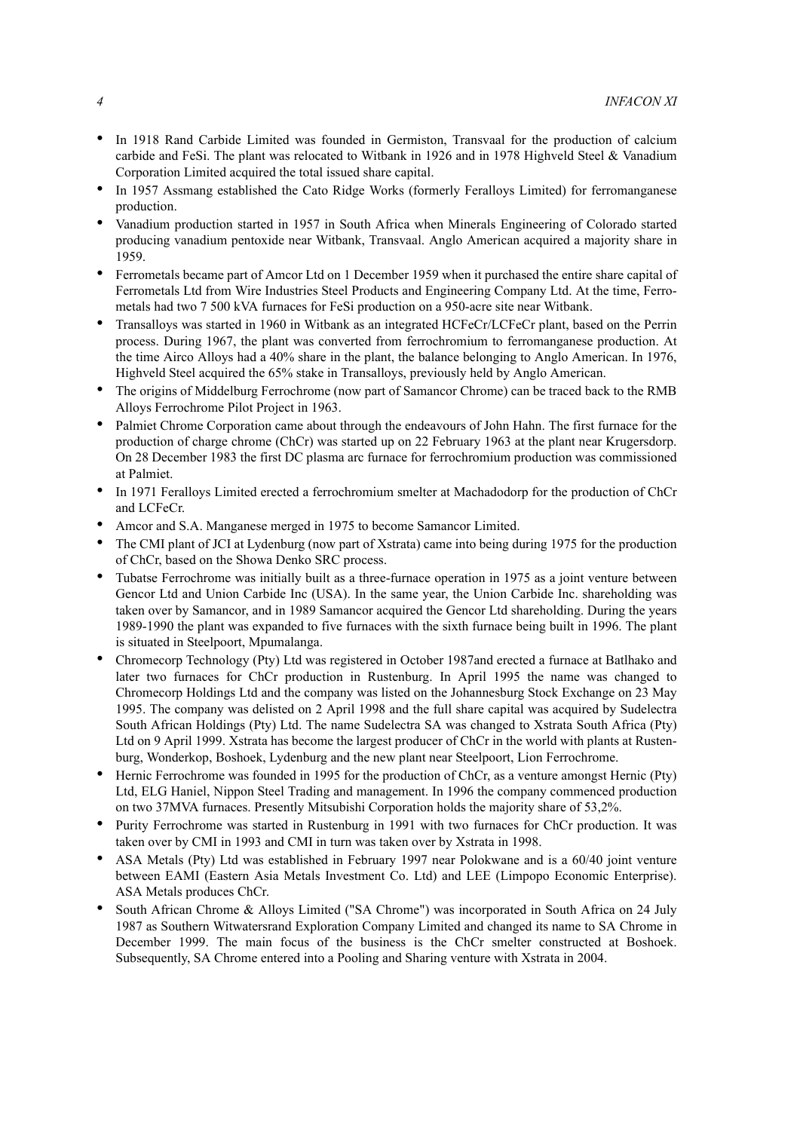- In 1918 Rand Carbide Limited was founded in Germiston, Transvaal for the production of calcium carbide and FeSi. The plant was relocated to Witbank in 1926 and in 1978 Highveld Steel & Vanadium Corporation Limited acquired the total issued share capital.
- In 1957 Assmang established the Cato Ridge Works (formerly Feralloys Limited) for ferromanganese production.
- Vanadium production started in 1957 in South Africa when Minerals Engineering of Colorado started producing vanadium pentoxide near Witbank, Transvaal. Anglo American acquired a majority share in 1959.
- Ferrometals became part of Amcor Ltd on 1 December 1959 when it purchased the entire share capital of Ferrometals Ltd from Wire Industries Steel Products and Engineering Company Ltd. At the time, Ferrometals had two 7 500 kVA furnaces for FeSi production on a 950-acre site near Witbank.
- Transalloys was started in 1960 in Witbank as an integrated HCFeCr/LCFeCr plant, based on the Perrin process. During 1967, the plant was converted from ferrochromium to ferromanganese production. At the time Airco Alloys had a 40% share in the plant, the balance belonging to Anglo American. In 1976, Highveld Steel acquired the 65% stake in Transalloys, previously held by Anglo American.
- The origins of Middelburg Ferrochrome (now part of Samancor Chrome) can be traced back to the RMB Alloys Ferrochrome Pilot Project in 1963.
- Palmiet Chrome Corporation came about through the endeavours of John Hahn. The first furnace for the production of charge chrome (ChCr) was started up on 22 February 1963 at the plant near Krugersdorp. On 28 December 1983 the first DC plasma arc furnace for ferrochromium production was commissioned at Palmiet.
- In 1971 Feralloys Limited erected a ferrochromium smelter at Machadodorp for the production of ChCr and LCFeCr.
- Amcor and S.A. Manganese merged in 1975 to become Samancor Limited.
- The CMI plant of JCI at Lydenburg (now part of Xstrata) came into being during 1975 for the production of ChCr, based on the Showa Denko SRC process.
- Tubatse Ferrochrome was initially built as a three-furnace operation in 1975 as a joint venture between Gencor Ltd and Union Carbide Inc (USA). In the same year, the Union Carbide Inc. shareholding was taken over by Samancor, and in 1989 Samancor acquired the Gencor Ltd shareholding. During the years 1989-1990 the plant was expanded to five furnaces with the sixth furnace being built in 1996. The plant is situated in Steelpoort, Mpumalanga.
- Chromecorp Technology (Pty) Ltd was registered in October 1987and erected a furnace at Batlhako and later two furnaces for ChCr production in Rustenburg. In April 1995 the name was changed to Chromecorp Holdings Ltd and the company was listed on the Johannesburg Stock Exchange on 23 May 1995. The company was delisted on 2 April 1998 and the full share capital was acquired by Sudelectra South African Holdings (Pty) Ltd. The name Sudelectra SA was changed to Xstrata South Africa (Pty) Ltd on 9 April 1999. Xstrata has become the largest producer of ChCr in the world with plants at Rustenburg, Wonderkop, Boshoek, Lydenburg and the new plant near Steelpoort, Lion Ferrochrome.
- Hernic Ferrochrome was founded in 1995 for the production of ChCr, as a venture amongst Hernic (Pty) Ltd, ELG Haniel, Nippon Steel Trading and management. In 1996 the company commenced production on two 37MVA furnaces. Presently Mitsubishi Corporation holds the majority share of 53,2%.
- Purity Ferrochrome was started in Rustenburg in 1991 with two furnaces for ChCr production. It was taken over by CMI in 1993 and CMI in turn was taken over by Xstrata in 1998.
- ASA Metals (Pty) Ltd was established in February 1997 near Polokwane and is a 60/40 joint venture between EAMI (Eastern Asia Metals Investment Co. Ltd) and LEE (Limpopo Economic Enterprise). ASA Metals produces ChCr.
- South African Chrome & Alloys Limited ("SA Chrome") was incorporated in South Africa on 24 July 1987 as Southern Witwatersrand Exploration Company Limited and changed its name to SA Chrome in December 1999. The main focus of the business is the ChCr smelter constructed at Boshoek. Subsequently, SA Chrome entered into a Pooling and Sharing venture with Xstrata in 2004.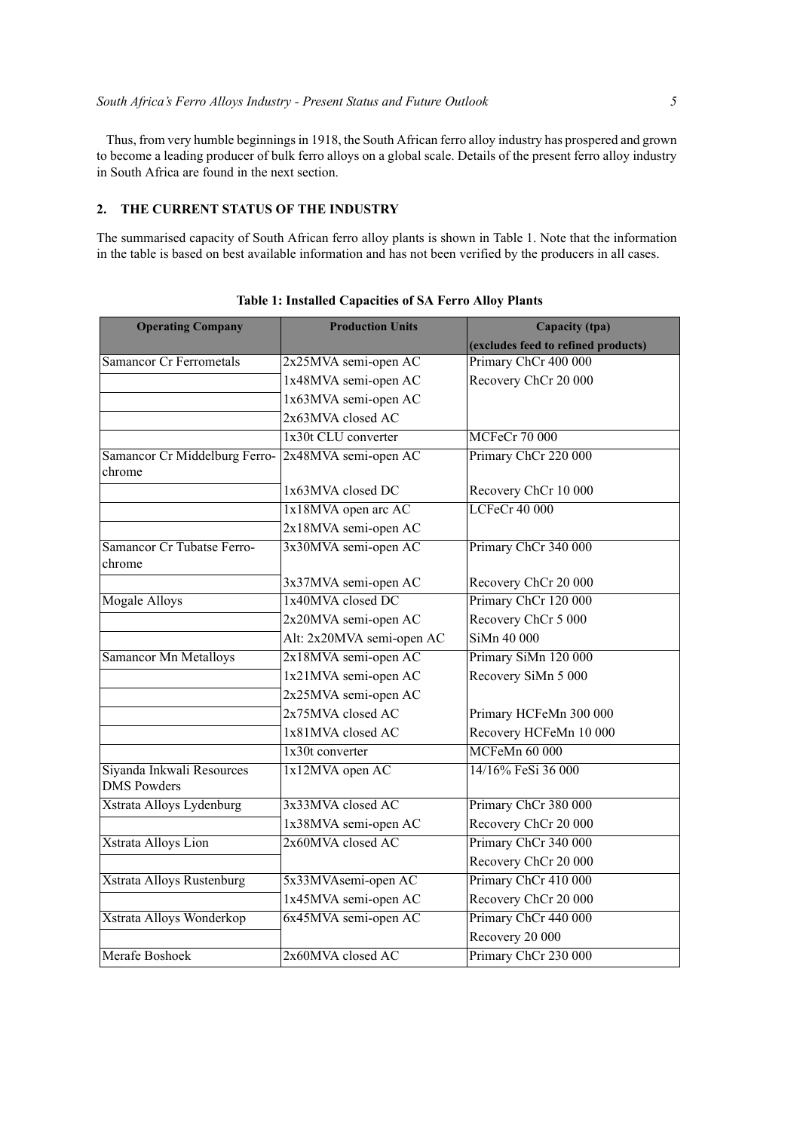Thus, from very humble beginnings in 1918, the South African ferro alloy industry has prospered and grown to become a leading producer of bulk ferro alloys on a global scale. Details of the present ferro alloy industry in South Africa are found in the next section.

# **2. THE CURRENT STATUS OF THE INDUSTRY**

The summarised capacity of South African ferro alloy plants is shown in Table 1. Note that the information in the table is based on best available information and has not been verified by the producers in all cases.

| <b>Operating Company</b>                        | <b>Production Units</b>   | Capacity (tpa)                      |
|-------------------------------------------------|---------------------------|-------------------------------------|
|                                                 |                           | (excludes feed to refined products) |
| <b>Samancor Cr Ferrometals</b>                  | 2x25MVA semi-open AC      | Primary ChCr 400 000                |
|                                                 | 1x48MVA semi-open AC      | Recovery ChCr 20 000                |
|                                                 | 1x63MVA semi-open AC      |                                     |
|                                                 | 2x63MVA closed AC         |                                     |
|                                                 | 1x30t CLU converter       | <b>MCFeCr 70 000</b>                |
| Samancor Cr Middelburg Ferro-<br>chrome         | 2x48MVA semi-open AC      | Primary ChCr 220 000                |
|                                                 | 1x63MVA closed DC         | Recovery ChCr 10 000                |
|                                                 | 1x18MVA open arc AC       | <b>LCFeCr 40 000</b>                |
|                                                 | 2x18MVA semi-open AC      |                                     |
| Samancor Cr Tubatse Ferro-<br>chrome            | 3x30MVA semi-open AC      | Primary ChCr 340 000                |
|                                                 | 3x37MVA semi-open AC      | Recovery ChCr 20 000                |
| <b>Mogale Alloys</b>                            | 1x40MVA closed DC         | Primary ChCr 120 000                |
|                                                 | 2x20MVA semi-open AC      | Recovery ChCr 5 000                 |
|                                                 | Alt: 2x20MVA semi-open AC | SiMn 40 000                         |
| Samancor Mn Metalloys                           | 2x18MVA semi-open AC      | Primary SiMn 120 000                |
|                                                 | 1x21MVA semi-open AC      | Recovery SiMn 5 000                 |
|                                                 | 2x25MVA semi-open AC      |                                     |
|                                                 | 2x75MVA closed AC         | Primary HCFeMn 300 000              |
|                                                 | 1x81MVA closed AC         | Recovery HCFeMn 10 000              |
|                                                 | 1x30t converter           | MCFeMn 60 000                       |
| Siyanda Inkwali Resources<br><b>DMS</b> Powders | 1x12MVA open AC           | 14/16% FeSi 36 000                  |
| Xstrata Alloys Lydenburg                        | 3x33MVA closed AC         | Primary ChCr 380 000                |
|                                                 | 1x38MVA semi-open AC      | Recovery ChCr 20 000                |
| Xstrata Alloys Lion                             | 2x60MVA closed AC         | Primary ChCr 340 000                |
|                                                 |                           | Recovery ChCr 20 000                |
| Xstrata Alloys Rustenburg                       | 5x33MVAsemi-open AC       | Primary ChCr 410 000                |
|                                                 | 1x45MVA semi-open AC      | Recovery ChCr 20 000                |
| Xstrata Alloys Wonderkop                        | 6x45MVA semi-open AC      | Primary ChCr 440 000                |
|                                                 |                           | Recovery 20 000                     |
| Merafe Boshoek                                  | 2x60MVA closed AC         | Primary ChCr 230 000                |

**Table 1: Installed Capacities of SA Ferro Alloy Plants**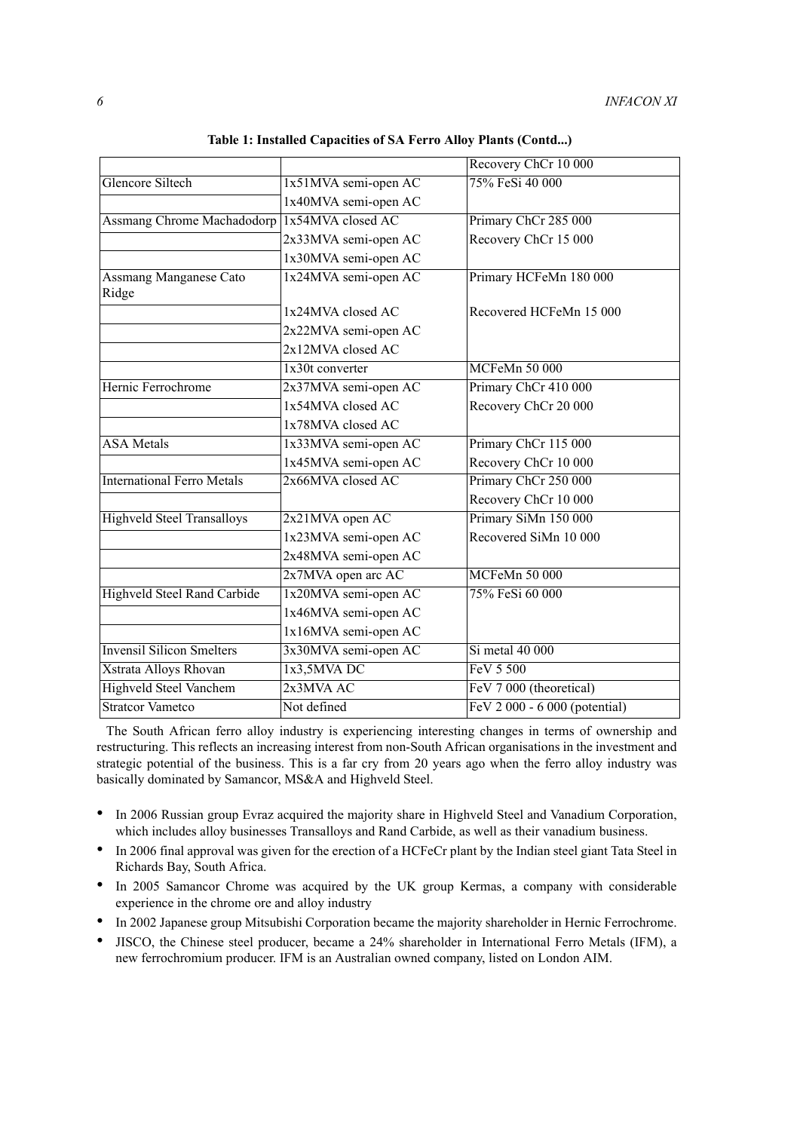|                                        |                      | Recovery ChCr 10 000          |
|----------------------------------------|----------------------|-------------------------------|
| <b>Glencore Siltech</b>                | 1x51MVA semi-open AC | 75% FeSi 40 000               |
|                                        | 1x40MVA semi-open AC |                               |
| Assmang Chrome Machadodorp             | 1x54MVA closed AC    | Primary ChCr 285 000          |
|                                        | 2x33MVA semi-open AC | Recovery ChCr 15 000          |
|                                        | 1x30MVA semi-open AC |                               |
| <b>Assmang Manganese Cato</b><br>Ridge | 1x24MVA semi-open AC | Primary HCFeMn 180 000        |
|                                        | 1x24MVA closed AC    | Recovered HCFeMn 15 000       |
|                                        | 2x22MVA semi-open AC |                               |
|                                        | 2x12MVA closed AC    |                               |
|                                        | $1x30t$ converter    | <b>MCFeMn 50 000</b>          |
| Hernic Ferrochrome                     | 2x37MVA semi-open AC | Primary ChCr 410 000          |
|                                        | 1x54MVA closed AC    | Recovery ChCr 20 000          |
|                                        | 1x78MVA closed AC    |                               |
| <b>ASA</b> Metals                      | 1x33MVA semi-open AC | Primary ChCr 115 000          |
|                                        | 1x45MVA semi-open AC | Recovery ChCr 10 000          |
| <b>International Ferro Metals</b>      | 2x66MVA closed AC    | Primary ChCr 250 000          |
|                                        |                      | Recovery ChCr 10 000          |
| <b>Highveld Steel Transalloys</b>      | $2x21$ MVA open AC   | Primary SiMn 150 000          |
|                                        | 1x23MVA semi-open AC | Recovered SiMn 10 000         |
|                                        | 2x48MVA semi-open AC |                               |
|                                        | 2x7MVA open arc AC   | <b>MCFeMn 50 000</b>          |
| Highveld Steel Rand Carbide            | 1x20MVA semi-open AC | 75% FeSi 60 000               |
|                                        | 1x46MVA semi-open AC |                               |
|                                        | 1x16MVA semi-open AC |                               |
| <b>Invensil Silicon Smelters</b>       | 3x30MVA semi-open AC | Si metal 40 000               |
| Xstrata Alloys Rhovan                  | 1x3,5MVA DC          | FeV 5 500                     |
| <b>Highveld Steel Vanchem</b>          | 2x3MVA AC            | FeV 7 000 (theoretical)       |
| <b>Stratcor Vametco</b>                | Not defined          | FeV 2 000 - 6 000 (potential) |

**Table 1: Installed Capacities of SA Ferro Alloy Plants (Contd...)**

The South African ferro alloy industry is experiencing interesting changes in terms of ownership and restructuring. This reflects an increasing interest from non-South African organisations in the investment and strategic potential of the business. This is a far cry from 20 years ago when the ferro alloy industry was basically dominated by Samancor, MS&A and Highveld Steel.

- In 2006 Russian group Evraz acquired the majority share in Highveld Steel and Vanadium Corporation, which includes alloy businesses Transalloys and Rand Carbide, as well as their vanadium business.
- In 2006 final approval was given for the erection of a HCFeCr plant by the Indian steel giant Tata Steel in Richards Bay, South Africa.
- In 2005 Samancor Chrome was acquired by the UK group Kermas, a company with considerable experience in the chrome ore and alloy industry
- In 2002 Japanese group Mitsubishi Corporation became the majority shareholder in Hernic Ferrochrome.
- JISCO, the Chinese steel producer, became a 24% shareholder in International Ferro Metals (IFM), a new ferrochromium producer. IFM is an Australian owned company, listed on London AIM.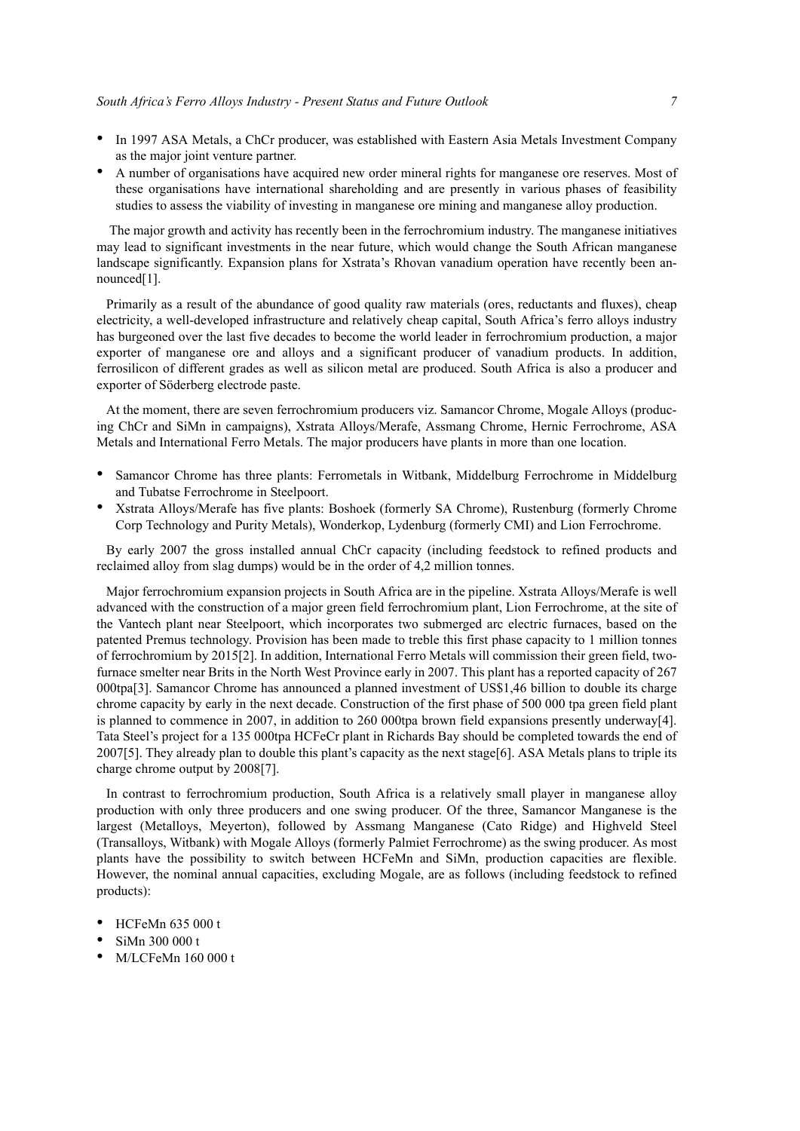- In 1997 ASA Metals, a ChCr producer, was established with Eastern Asia Metals Investment Company as the major joint venture partner.
- A number of organisations have acquired new order mineral rights for manganese ore reserves. Most of these organisations have international shareholding and are presently in various phases of feasibility studies to assess the viability of investing in manganese ore mining and manganese alloy production.

 The major growth and activity has recently been in the ferrochromium industry. The manganese initiatives may lead to significant investments in the near future, which would change the South African manganese landscape significantly. Expansion plans for Xstrata's Rhovan vanadium operation have recently been announced<sup>[1]</sup>.

Primarily as a result of the abundance of good quality raw materials (ores, reductants and fluxes), cheap electricity, a well-developed infrastructure and relatively cheap capital, South Africa's ferro alloys industry has burgeoned over the last five decades to become the world leader in ferrochromium production, a major exporter of manganese ore and alloys and a significant producer of vanadium products. In addition, ferrosilicon of different grades as well as silicon metal are produced. South Africa is also a producer and exporter of Söderberg electrode paste.

At the moment, there are seven ferrochromium producers viz. Samancor Chrome, Mogale Alloys (producing ChCr and SiMn in campaigns), Xstrata Alloys/Merafe, Assmang Chrome, Hernic Ferrochrome, ASA Metals and International Ferro Metals. The major producers have plants in more than one location.

- Samancor Chrome has three plants: Ferrometals in Witbank, Middelburg Ferrochrome in Middelburg and Tubatse Ferrochrome in Steelpoort.
- Xstrata Alloys/Merafe has five plants: Boshoek (formerly SA Chrome), Rustenburg (formerly Chrome Corp Technology and Purity Metals), Wonderkop, Lydenburg (formerly CMI) and Lion Ferrochrome.

By early 2007 the gross installed annual ChCr capacity (including feedstock to refined products and reclaimed alloy from slag dumps) would be in the order of 4,2 million tonnes.

Major ferrochromium expansion projects in South Africa are in the pipeline. Xstrata Alloys/Merafe is well advanced with the construction of a major green field ferrochromium plant, Lion Ferrochrome, at the site of the Vantech plant near Steelpoort, which incorporates two submerged arc electric furnaces, based on the patented Premus technology. Provision has been made to treble this first phase capacity to 1 million tonnes of ferrochromium by 2015[2]. In addition, International Ferro Metals will commission their green field, twofurnace smelter near Brits in the North West Province early in 2007. This plant has a reported capacity of 267 000tpa[3]. Samancor Chrome has announced a planned investment of US\$1,46 billion to double its charge chrome capacity by early in the next decade. Construction of the first phase of 500 000 tpa green field plant is planned to commence in 2007, in addition to 260 000tpa brown field expansions presently underway[4]. Tata Steel's project for a 135 000tpa HCFeCr plant in Richards Bay should be completed towards the end of 2007[5]. They already plan to double this plant's capacity as the next stage[6]. ASA Metals plans to triple its charge chrome output by 2008[7].

In contrast to ferrochromium production, South Africa is a relatively small player in manganese alloy production with only three producers and one swing producer. Of the three, Samancor Manganese is the largest (Metalloys, Meyerton), followed by Assmang Manganese (Cato Ridge) and Highveld Steel (Transalloys, Witbank) with Mogale Alloys (formerly Palmiet Ferrochrome) as the swing producer. As most plants have the possibility to switch between HCFeMn and SiMn, production capacities are flexible. However, the nominal annual capacities, excluding Mogale, are as follows (including feedstock to refined products):

- HCFeMn 635 000 t
- SiMn 300 000 t
- M/LCFeMn 160 000 t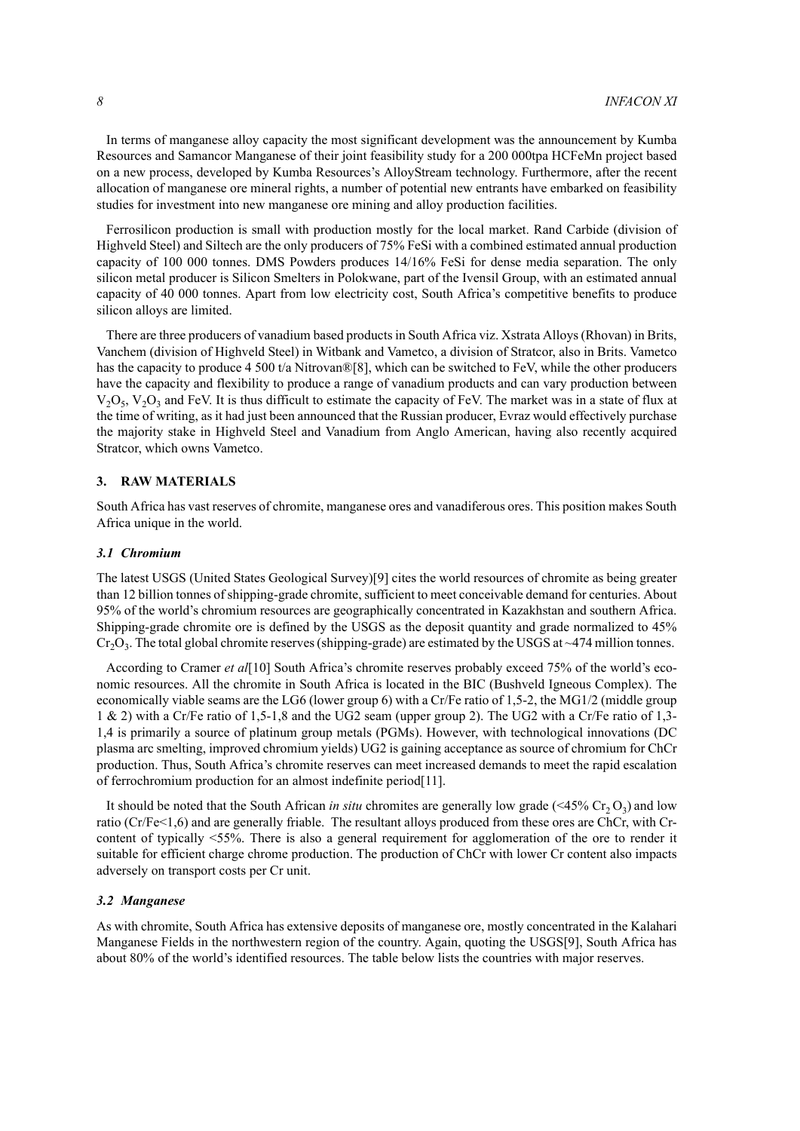In terms of manganese alloy capacity the most significant development was the announcement by Kumba Resources and Samancor Manganese of their joint feasibility study for a 200 000tpa HCFeMn project based on a new process, developed by Kumba Resources's AlloyStream technology. Furthermore, after the recent allocation of manganese ore mineral rights, a number of potential new entrants have embarked on feasibility studies for investment into new manganese ore mining and alloy production facilities.

Ferrosilicon production is small with production mostly for the local market. Rand Carbide (division of Highveld Steel) and Siltech are the only producers of 75% FeSi with a combined estimated annual production capacity of 100 000 tonnes. DMS Powders produces 14/16% FeSi for dense media separation. The only silicon metal producer is Silicon Smelters in Polokwane, part of the Ivensil Group, with an estimated annual capacity of 40 000 tonnes. Apart from low electricity cost, South Africa's competitive benefits to produce silicon alloys are limited.

There are three producers of vanadium based products in South Africa viz. Xstrata Alloys (Rhovan) in Brits, Vanchem (division of Highveld Steel) in Witbank and Vametco, a division of Stratcor, also in Brits. Vametco has the capacity to produce 4 500 t/a Nitrovan®[8], which can be switched to FeV, while the other producers have the capacity and flexibility to produce a range of vanadium products and can vary production between  $V_2O_5$ ,  $V_2O_3$  and FeV. It is thus difficult to estimate the capacity of FeV. The market was in a state of flux at the time of writing, as it had just been announced that the Russian producer, Evraz would effectively purchase the majority stake in Highveld Steel and Vanadium from Anglo American, having also recently acquired Stratcor, which owns Vametco.

## **3. RAW MATERIALS**

South Africa has vast reserves of chromite, manganese ores and vanadiferous ores. This position makes South Africa unique in the world.

#### *3.1 Chromium*

The latest USGS (United States Geological Survey)[9] cites the world resources of chromite as being greater than 12 billion tonnes of shipping-grade chromite, sufficient to meet conceivable demand for centuries. About 95% of the world's chromium resources are geographically concentrated in Kazakhstan and southern Africa. Shipping-grade chromite ore is defined by the USGS as the deposit quantity and grade normalized to 45%  $Cr_2O_3$ . The total global chromite reserves (shipping-grade) are estimated by the USGS at ~474 million tonnes.

According to Cramer *et al*[10] South Africa's chromite reserves probably exceed 75% of the world's economic resources. All the chromite in South Africa is located in the BIC (Bushveld Igneous Complex). The economically viable seams are the LG6 (lower group 6) with a Cr/Fe ratio of 1,5-2, the MG1/2 (middle group 1 & 2) with a Cr/Fe ratio of 1,5-1,8 and the UG2 seam (upper group 2). The UG2 with a Cr/Fe ratio of 1,3- 1,4 is primarily a source of platinum group metals (PGMs). However, with technological innovations (DC plasma arc smelting, improved chromium yields) UG2 is gaining acceptance as source of chromium for ChCr production. Thus, South Africa's chromite reserves can meet increased demands to meet the rapid escalation of ferrochromium production for an almost indefinite period[11].

It should be noted that the South African *in situ* chromites are generally low grade ( $\langle 45\% \, Cr, O_3 \rangle$ ) and low ratio (Cr/Fe<1,6) and are generally friable. The resultant alloys produced from these ores are ChCr, with Crcontent of typically <55%. There is also a general requirement for agglomeration of the ore to render it suitable for efficient charge chrome production. The production of ChCr with lower Cr content also impacts adversely on transport costs per Cr unit.

#### *3.2 Manganese*

As with chromite, South Africa has extensive deposits of manganese ore, mostly concentrated in the Kalahari Manganese Fields in the northwestern region of the country. Again, quoting the USGS[9], South Africa has about 80% of the world's identified resources. The table below lists the countries with major reserves.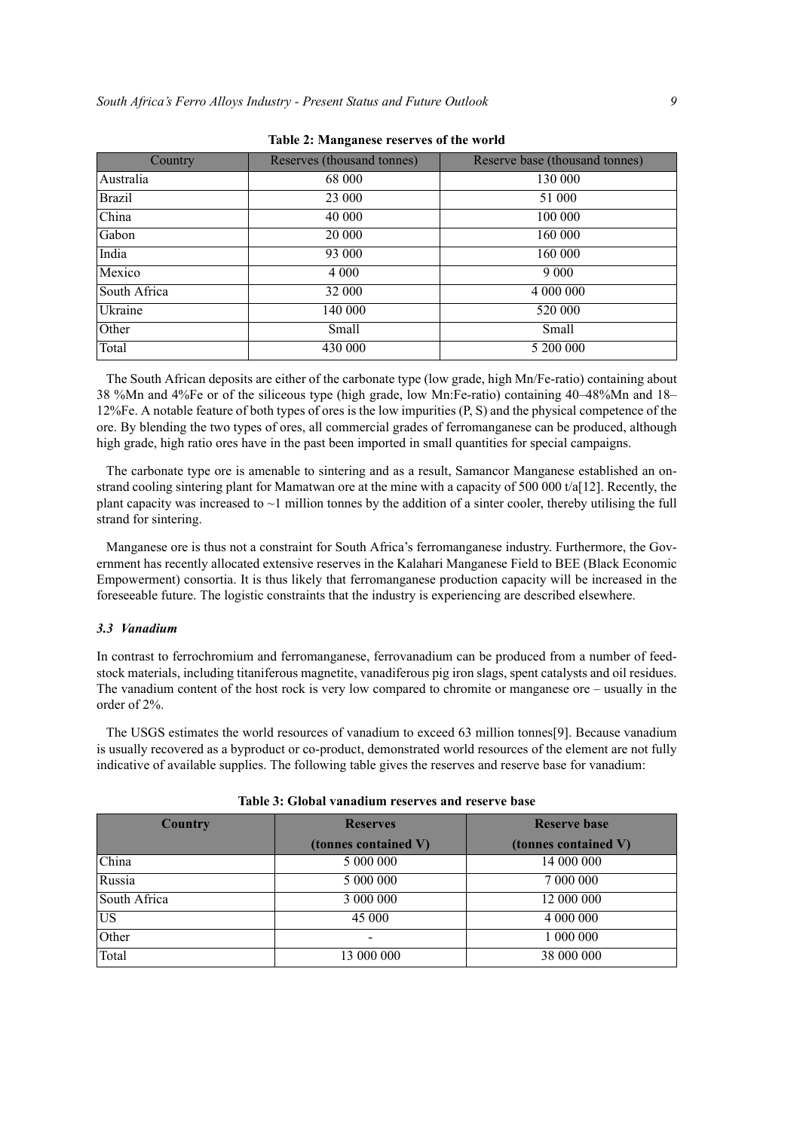| Country       | Reserves (thousand tonnes) | Reserve base (thousand tonnes) |
|---------------|----------------------------|--------------------------------|
| Australia     | 68 000                     | 130 000                        |
| <b>Brazil</b> | 23 000                     | 51 000                         |
| China         | 40 000                     | 100 000                        |
| Gabon         | 20 000                     | 160 000                        |
| India         | 93 000                     | 160 000                        |
| Mexico        | 4 0 0 0                    |                                |
| South Africa  | 32 000                     | 4 000 000                      |
| Ukraine       | 140 000                    | 520 000                        |
| Other         | Small                      | Small                          |
| Total         | 430 000                    | 5 200 000                      |

**Table 2: Manganese reserves of the world**

The South African deposits are either of the carbonate type (low grade, high Mn/Fe-ratio) containing about 38 %Mn and 4%Fe or of the siliceous type (high grade, low Mn:Fe-ratio) containing 40–48%Mn and 18– 12%Fe. A notable feature of both types of ores is the low impurities (P, S) and the physical competence of the ore. By blending the two types of ores, all commercial grades of ferromanganese can be produced, although high grade, high ratio ores have in the past been imported in small quantities for special campaigns.

The carbonate type ore is amenable to sintering and as a result, Samancor Manganese established an onstrand cooling sintering plant for Mamatwan ore at the mine with a capacity of 500 000 t/a[12]. Recently, the plant capacity was increased to  $\sim$ 1 million tonnes by the addition of a sinter cooler, thereby utilising the full strand for sintering.

Manganese ore is thus not a constraint for South Africa's ferromanganese industry. Furthermore, the Government has recently allocated extensive reserves in the Kalahari Manganese Field to BEE (Black Economic Empowerment) consortia. It is thus likely that ferromanganese production capacity will be increased in the foreseeable future. The logistic constraints that the industry is experiencing are described elsewhere.

#### *3.3 Vanadium*

In contrast to ferrochromium and ferromanganese, ferrovanadium can be produced from a number of feedstock materials, including titaniferous magnetite, vanadiferous pig iron slags, spent catalysts and oil residues. The vanadium content of the host rock is very low compared to chromite or manganese ore – usually in the order of 2%.

The USGS estimates the world resources of vanadium to exceed 63 million tonnes[9]. Because vanadium is usually recovered as a byproduct or co-product, demonstrated world resources of the element are not fully indicative of available supplies. The following table gives the reserves and reserve base for vanadium:

| Country                | <b>Reserves</b>      | <b>Reserve base</b>  |  |
|------------------------|----------------------|----------------------|--|
|                        | (tonnes contained V) | (tonnes contained V) |  |
| China                  | 5 000 000            | 14 000 000           |  |
| Russia                 | 5 000 000            | 7 000 000            |  |
| South Africa           | 3 000 000            | 12 000 000           |  |
| $\overline{\text{US}}$ | 45 000               | 4 000 000            |  |
| Other                  |                      | 1 000 000            |  |
| Total                  | 13 000 000           | 38 000 000           |  |

**Table 3: Global vanadium reserves and reserve base**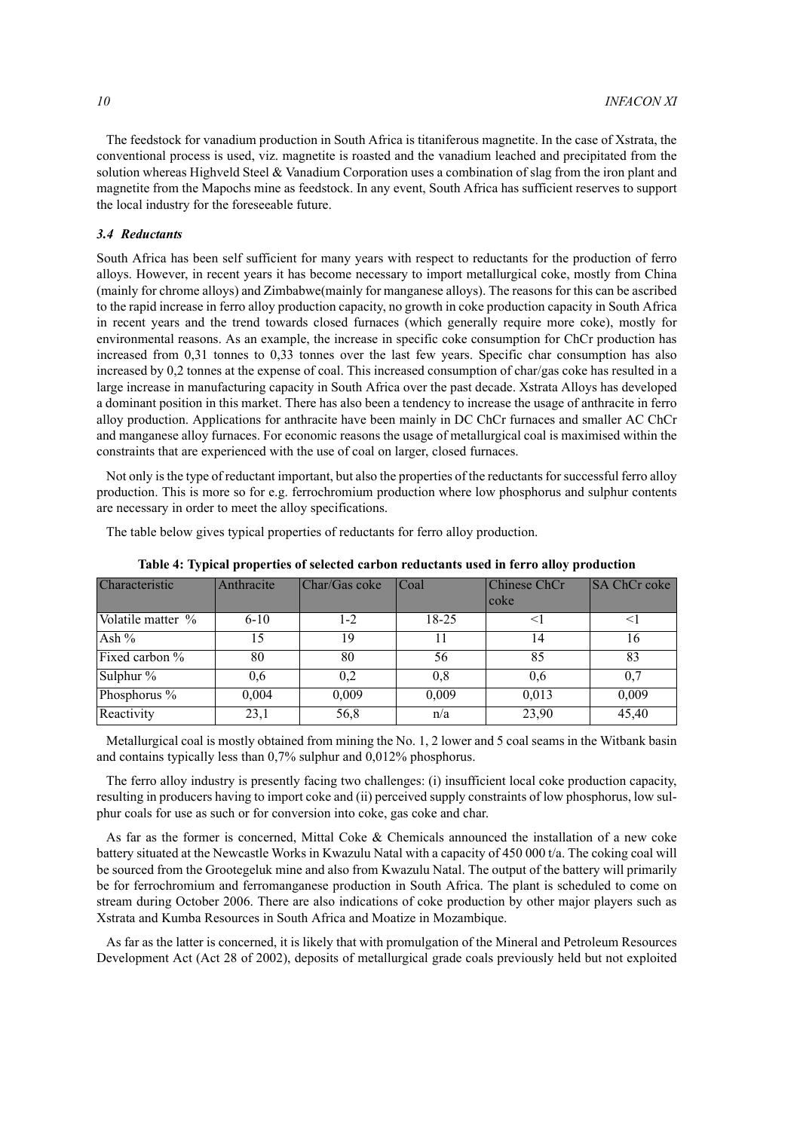The feedstock for vanadium production in South Africa is titaniferous magnetite. In the case of Xstrata, the conventional process is used, viz. magnetite is roasted and the vanadium leached and precipitated from the solution whereas Highveld Steel & Vanadium Corporation uses a combination of slag from the iron plant and magnetite from the Mapochs mine as feedstock. In any event, South Africa has sufficient reserves to support the local industry for the foreseeable future.

#### *3.4 Reductants*

South Africa has been self sufficient for many years with respect to reductants for the production of ferro alloys. However, in recent years it has become necessary to import metallurgical coke, mostly from China (mainly for chrome alloys) and Zimbabwe(mainly for manganese alloys). The reasons for this can be ascribed to the rapid increase in ferro alloy production capacity, no growth in coke production capacity in South Africa in recent years and the trend towards closed furnaces (which generally require more coke), mostly for environmental reasons. As an example, the increase in specific coke consumption for ChCr production has increased from 0,31 tonnes to 0,33 tonnes over the last few years. Specific char consumption has also increased by 0,2 tonnes at the expense of coal. This increased consumption of char/gas coke has resulted in a large increase in manufacturing capacity in South Africa over the past decade. Xstrata Alloys has developed a dominant position in this market. There has also been a tendency to increase the usage of anthracite in ferro alloy production. Applications for anthracite have been mainly in DC ChCr furnaces and smaller AC ChCr and manganese alloy furnaces. For economic reasons the usage of metallurgical coal is maximised within the constraints that are experienced with the use of coal on larger, closed furnaces.

Not only is the type of reductant important, but also the properties of the reductants for successful ferro alloy production. This is more so for e.g. ferrochromium production where low phosphorus and sulphur contents are necessary in order to meet the alloy specifications.

The table below gives typical properties of reductants for ferro alloy production.

| Characteristic    | Anthracite | Char/Gas coke | <b>Coal</b> | Chinese ChCr<br>coke | <b>SA ChCr coke</b> |
|-------------------|------------|---------------|-------------|----------------------|---------------------|
| Volatile matter % | $6-10$     | $1 - 2$       | $18 - 25$   |                      |                     |
| Ash $%$           | 15         | 19            | 11          | 14                   | 16                  |
| Fixed carbon %    | 80         | 80            | 56          | 85                   | 83                  |
| Sulphur %         | 0.6        | 0,2           | 0.8         | 0.6                  | 0.7                 |
| Phosphorus %      | 0,004      | 0,009         | 0,009       | 0,013                | 0,009               |
| Reactivity        | 23,1       | 56,8          | n/a         | 23,90                | 45,40               |

**Table 4: Typical properties of selected carbon reductants used in ferro alloy production**

Metallurgical coal is mostly obtained from mining the No. 1, 2 lower and 5 coal seams in the Witbank basin and contains typically less than 0,7% sulphur and 0,012% phosphorus.

The ferro alloy industry is presently facing two challenges: (i) insufficient local coke production capacity, resulting in producers having to import coke and (ii) perceived supply constraints of low phosphorus, low sulphur coals for use as such or for conversion into coke, gas coke and char.

As far as the former is concerned, Mittal Coke & Chemicals announced the installation of a new coke battery situated at the Newcastle Works in Kwazulu Natal with a capacity of 450 000 t/a. The coking coal will be sourced from the Grootegeluk mine and also from Kwazulu Natal. The output of the battery will primarily be for ferrochromium and ferromanganese production in South Africa. The plant is scheduled to come on stream during October 2006. There are also indications of coke production by other major players such as Xstrata and Kumba Resources in South Africa and Moatize in Mozambique.

As far as the latter is concerned, it is likely that with promulgation of the Mineral and Petroleum Resources Development Act (Act 28 of 2002), deposits of metallurgical grade coals previously held but not exploited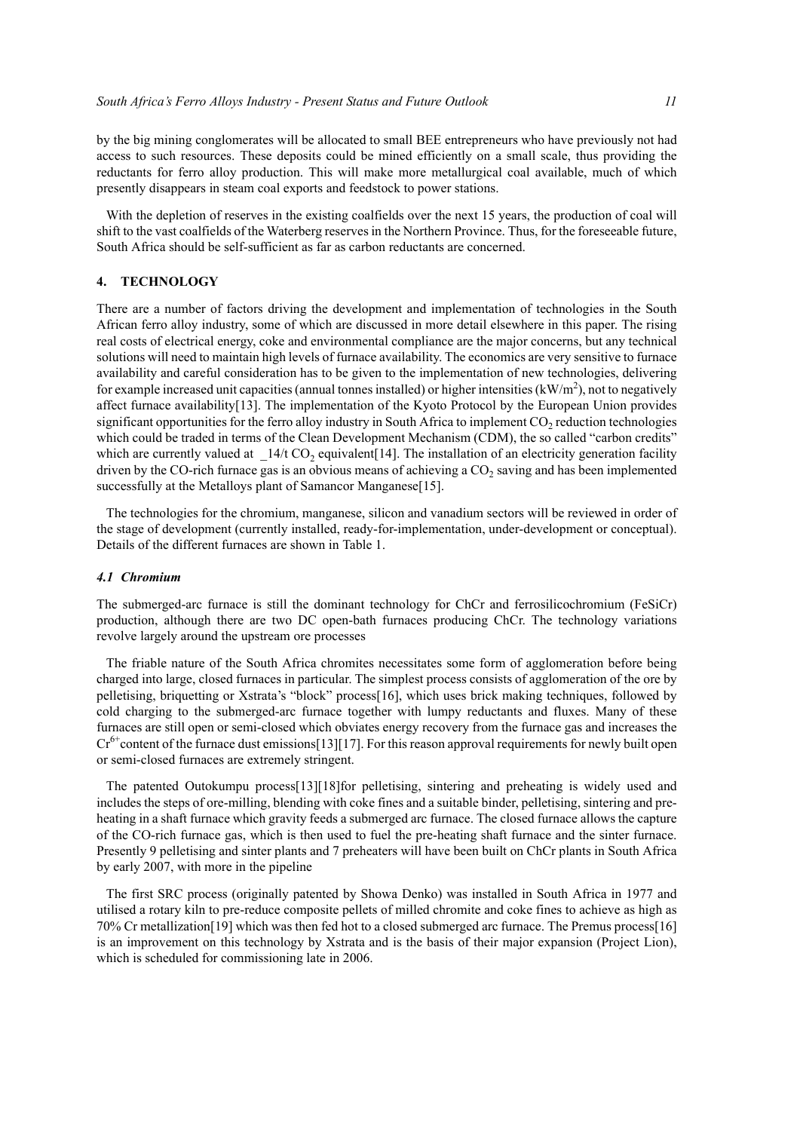by the big mining conglomerates will be allocated to small BEE entrepreneurs who have previously not had access to such resources. These deposits could be mined efficiently on a small scale, thus providing the reductants for ferro alloy production. This will make more metallurgical coal available, much of which presently disappears in steam coal exports and feedstock to power stations.

With the depletion of reserves in the existing coalfields over the next 15 years, the production of coal will shift to the vast coalfields of the Waterberg reserves in the Northern Province. Thus, for the foreseeable future, South Africa should be self-sufficient as far as carbon reductants are concerned.

#### **4. TECHNOLOGY**

There are a number of factors driving the development and implementation of technologies in the South African ferro alloy industry, some of which are discussed in more detail elsewhere in this paper. The rising real costs of electrical energy, coke and environmental compliance are the major concerns, but any technical solutions will need to maintain high levels of furnace availability. The economics are very sensitive to furnace availability and careful consideration has to be given to the implementation of new technologies, delivering for example increased unit capacities (annual tonnes installed) or higher intensities  $(kW/m<sup>2</sup>)$ , not to negatively affect furnace availability[13]. The implementation of the Kyoto Protocol by the European Union provides significant opportunities for the ferro alloy industry in South Africa to implement CO<sub>2</sub> reduction technologies which could be traded in terms of the Clean Development Mechanism (CDM), the so called "carbon credits" which are currently valued at  $14/14$  CO<sub>2</sub> equivalent [14]. The installation of an electricity generation facility driven by the CO-rich furnace gas is an obvious means of achieving a  $CO<sub>2</sub>$  saving and has been implemented successfully at the Metalloys plant of Samancor Manganese[15].

The technologies for the chromium, manganese, silicon and vanadium sectors will be reviewed in order of the stage of development (currently installed, ready-for-implementation, under-development or conceptual). Details of the different furnaces are shown in Table 1.

#### *4.1 Chromium*

The submerged-arc furnace is still the dominant technology for ChCr and ferrosilicochromium (FeSiCr) production, although there are two DC open-bath furnaces producing ChCr. The technology variations revolve largely around the upstream ore processes

The friable nature of the South Africa chromites necessitates some form of agglomeration before being charged into large, closed furnaces in particular. The simplest process consists of agglomeration of the ore by pelletising, briquetting or Xstrata's "block" process[16], which uses brick making techniques, followed by cold charging to the submerged-arc furnace together with lumpy reductants and fluxes. Many of these furnaces are still open or semi-closed which obviates energy recovery from the furnace gas and increases the  $Cr<sup>6+</sup>$ content of the furnace dust emissions[13][17]. For this reason approval requirements for newly built open or semi-closed furnaces are extremely stringent.

The patented Outokumpu process[13][18]for pelletising, sintering and preheating is widely used and includes the steps of ore-milling, blending with coke fines and a suitable binder, pelletising, sintering and preheating in a shaft furnace which gravity feeds a submerged arc furnace. The closed furnace allows the capture of the CO-rich furnace gas, which is then used to fuel the pre-heating shaft furnace and the sinter furnace. Presently 9 pelletising and sinter plants and 7 preheaters will have been built on ChCr plants in South Africa by early 2007, with more in the pipeline

The first SRC process (originally patented by Showa Denko) was installed in South Africa in 1977 and utilised a rotary kiln to pre-reduce composite pellets of milled chromite and coke fines to achieve as high as 70% Cr metallization[19] which was then fed hot to a closed submerged arc furnace. The Premus process[16] is an improvement on this technology by Xstrata and is the basis of their major expansion (Project Lion), which is scheduled for commissioning late in 2006.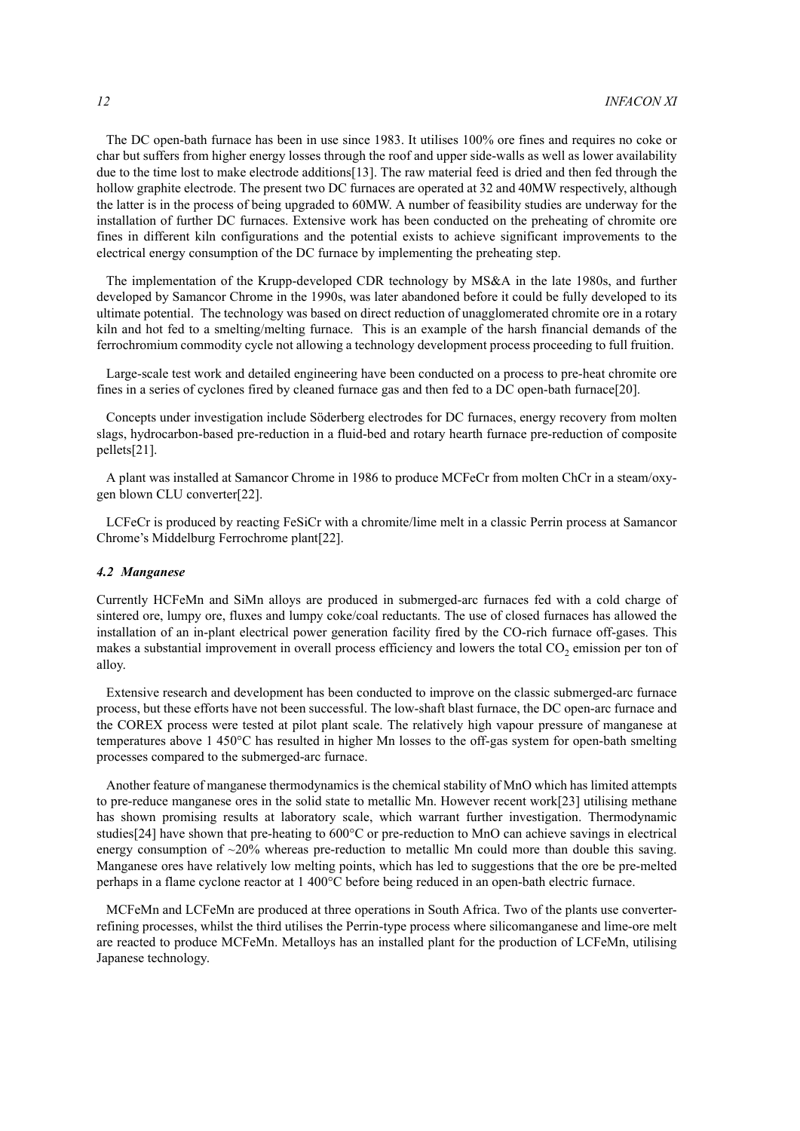The DC open-bath furnace has been in use since 1983. It utilises 100% ore fines and requires no coke or char but suffers from higher energy losses through the roof and upper side-walls as well as lower availability due to the time lost to make electrode additions[13]. The raw material feed is dried and then fed through the hollow graphite electrode. The present two DC furnaces are operated at 32 and 40MW respectively, although the latter is in the process of being upgraded to 60MW. A number of feasibility studies are underway for the installation of further DC furnaces. Extensive work has been conducted on the preheating of chromite ore fines in different kiln configurations and the potential exists to achieve significant improvements to the electrical energy consumption of the DC furnace by implementing the preheating step.

The implementation of the Krupp-developed CDR technology by MS&A in the late 1980s, and further developed by Samancor Chrome in the 1990s, was later abandoned before it could be fully developed to its ultimate potential. The technology was based on direct reduction of unagglomerated chromite ore in a rotary kiln and hot fed to a smelting/melting furnace. This is an example of the harsh financial demands of the ferrochromium commodity cycle not allowing a technology development process proceeding to full fruition.

Large-scale test work and detailed engineering have been conducted on a process to pre-heat chromite ore fines in a series of cyclones fired by cleaned furnace gas and then fed to a DC open-bath furnace[20].

Concepts under investigation include Söderberg electrodes for DC furnaces, energy recovery from molten slags, hydrocarbon-based pre-reduction in a fluid-bed and rotary hearth furnace pre-reduction of composite pellets[21].

A plant was installed at Samancor Chrome in 1986 to produce MCFeCr from molten ChCr in a steam/oxygen blown CLU converter[22].

LCFeCr is produced by reacting FeSiCr with a chromite/lime melt in a classic Perrin process at Samancor Chrome's Middelburg Ferrochrome plant[22].

#### *4.2 Manganese*

Currently HCFeMn and SiMn alloys are produced in submerged-arc furnaces fed with a cold charge of sintered ore, lumpy ore, fluxes and lumpy coke/coal reductants. The use of closed furnaces has allowed the installation of an in-plant electrical power generation facility fired by the CO-rich furnace off-gases. This makes a substantial improvement in overall process efficiency and lowers the total CO<sub>2</sub> emission per ton of alloy.

Extensive research and development has been conducted to improve on the classic submerged-arc furnace process, but these efforts have not been successful. The low-shaft blast furnace, the DC open-arc furnace and the COREX process were tested at pilot plant scale. The relatively high vapour pressure of manganese at temperatures above 1 450°C has resulted in higher Mn losses to the off-gas system for open-bath smelting processes compared to the submerged-arc furnace.

Another feature of manganese thermodynamics is the chemical stability of MnO which has limited attempts to pre-reduce manganese ores in the solid state to metallic Mn. However recent work[23] utilising methane has shown promising results at laboratory scale, which warrant further investigation. Thermodynamic studies[24] have shown that pre-heating to 600°C or pre-reduction to MnO can achieve savings in electrical energy consumption of  $\sim$ 20% whereas pre-reduction to metallic Mn could more than double this saving. Manganese ores have relatively low melting points, which has led to suggestions that the ore be pre-melted perhaps in a flame cyclone reactor at 1 400°C before being reduced in an open-bath electric furnace.

MCFeMn and LCFeMn are produced at three operations in South Africa. Two of the plants use converterrefining processes, whilst the third utilises the Perrin-type process where silicomanganese and lime-ore melt are reacted to produce MCFeMn. Metalloys has an installed plant for the production of LCFeMn, utilising Japanese technology.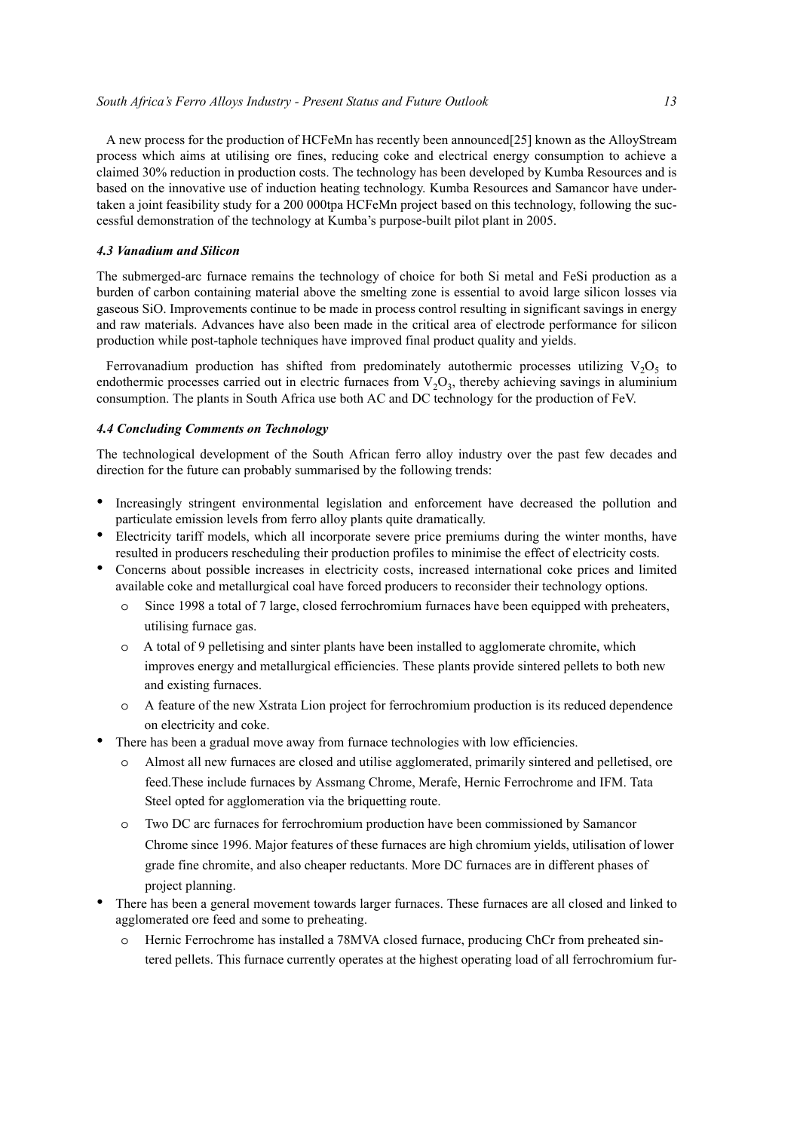#### *South Africa's Ferro Alloys Industry - Present Status and Future Outlook 13*

A new process for the production of HCFeMn has recently been announced[25] known as the AlloyStream process which aims at utilising ore fines, reducing coke and electrical energy consumption to achieve a claimed 30% reduction in production costs. The technology has been developed by Kumba Resources and is based on the innovative use of induction heating technology. Kumba Resources and Samancor have undertaken a joint feasibility study for a 200 000tpa HCFeMn project based on this technology, following the successful demonstration of the technology at Kumba's purpose-built pilot plant in 2005.

## *4.3 Vanadium and Silicon*

The submerged-arc furnace remains the technology of choice for both Si metal and FeSi production as a burden of carbon containing material above the smelting zone is essential to avoid large silicon losses via gaseous SiO. Improvements continue to be made in process control resulting in significant savings in energy and raw materials. Advances have also been made in the critical area of electrode performance for silicon production while post-taphole techniques have improved final product quality and yields.

Ferrovanadium production has shifted from predominately autothermic processes utilizing  $V_2O_5$  to endothermic processes carried out in electric furnaces from  $V_2O_3$ , thereby achieving savings in aluminium consumption. The plants in South Africa use both AC and DC technology for the production of FeV.

#### *4.4 Concluding Comments on Technology*

The technological development of the South African ferro alloy industry over the past few decades and direction for the future can probably summarised by the following trends:

- Increasingly stringent environmental legislation and enforcement have decreased the pollution and particulate emission levels from ferro alloy plants quite dramatically.
- Electricity tariff models, which all incorporate severe price premiums during the winter months, have resulted in producers rescheduling their production profiles to minimise the effect of electricity costs.
- Concerns about possible increases in electricity costs, increased international coke prices and limited available coke and metallurgical coal have forced producers to reconsider their technology options.
	- o Since 1998 a total of 7 large, closed ferrochromium furnaces have been equipped with preheaters, utilising furnace gas.
	- o A total of 9 pelletising and sinter plants have been installed to agglomerate chromite, which improves energy and metallurgical efficiencies. These plants provide sintered pellets to both new and existing furnaces.
	- o A feature of the new Xstrata Lion project for ferrochromium production is its reduced dependence on electricity and coke.
- There has been a gradual move away from furnace technologies with low efficiencies.
	- o Almost all new furnaces are closed and utilise agglomerated, primarily sintered and pelletised, ore feed.These include furnaces by Assmang Chrome, Merafe, Hernic Ferrochrome and IFM. Tata Steel opted for agglomeration via the briquetting route.
	- o Two DC arc furnaces for ferrochromium production have been commissioned by Samancor Chrome since 1996. Major features of these furnaces are high chromium yields, utilisation of lower grade fine chromite, and also cheaper reductants. More DC furnaces are in different phases of project planning.
- There has been a general movement towards larger furnaces. These furnaces are all closed and linked to agglomerated ore feed and some to preheating.
	- o Hernic Ferrochrome has installed a 78MVA closed furnace, producing ChCr from preheated sintered pellets. This furnace currently operates at the highest operating load of all ferrochromium fur-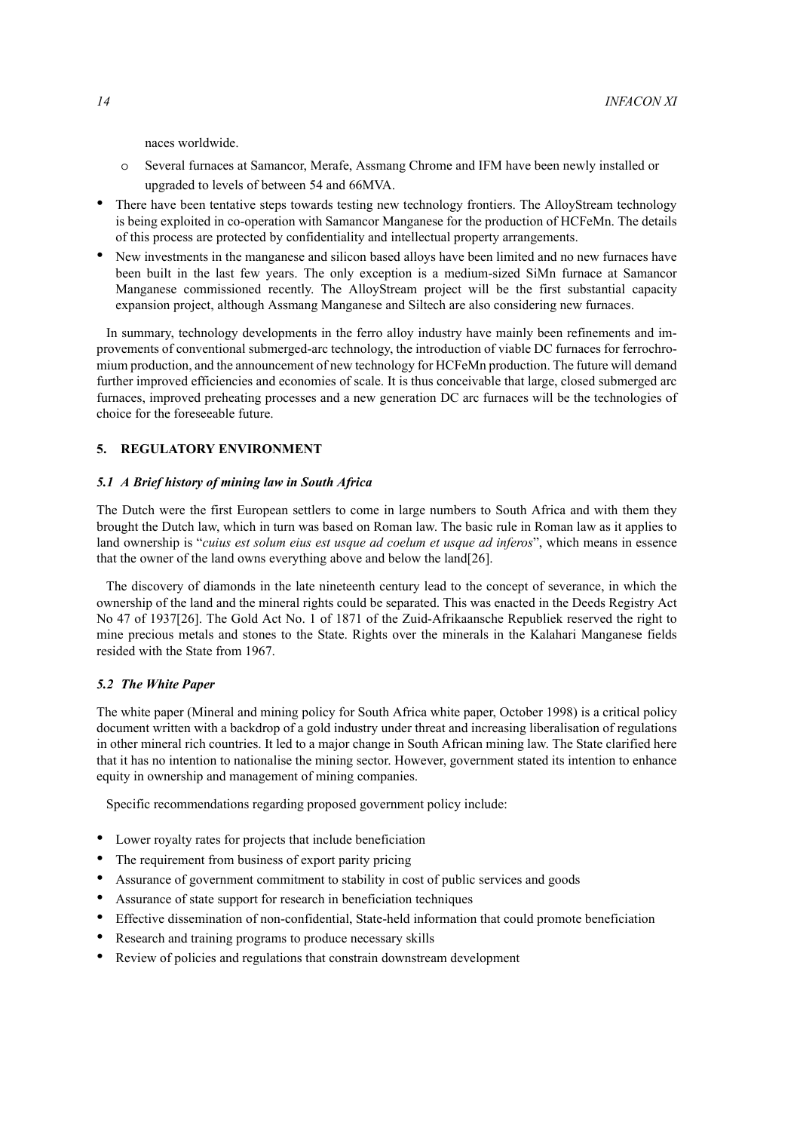naces worldwide.

- o Several furnaces at Samancor, Merafe, Assmang Chrome and IFM have been newly installed or upgraded to levels of between 54 and 66MVA.
- There have been tentative steps towards testing new technology frontiers. The AlloyStream technology is being exploited in co-operation with Samancor Manganese for the production of HCFeMn. The details of this process are protected by confidentiality and intellectual property arrangements.
- New investments in the manganese and silicon based alloys have been limited and no new furnaces have been built in the last few years. The only exception is a medium-sized SiMn furnace at Samancor Manganese commissioned recently. The AlloyStream project will be the first substantial capacity expansion project, although Assmang Manganese and Siltech are also considering new furnaces.

In summary, technology developments in the ferro alloy industry have mainly been refinements and improvements of conventional submerged-arc technology, the introduction of viable DC furnaces for ferrochromium production, and the announcement of new technology for HCFeMn production. The future will demand further improved efficiencies and economies of scale. It is thus conceivable that large, closed submerged arc furnaces, improved preheating processes and a new generation DC arc furnaces will be the technologies of choice for the foreseeable future.

# **5. REGULATORY ENVIRONMENT**

# *5.1 A Brief history of mining law in South Africa*

The Dutch were the first European settlers to come in large numbers to South Africa and with them they brought the Dutch law, which in turn was based on Roman law. The basic rule in Roman law as it applies to land ownership is "*cuius est solum eius est usque ad coelum et usque ad inferos*", which means in essence that the owner of the land owns everything above and below the land[26].

The discovery of diamonds in the late nineteenth century lead to the concept of severance, in which the ownership of the land and the mineral rights could be separated. This was enacted in the Deeds Registry Act No 47 of 1937[26]. The Gold Act No. 1 of 1871 of the Zuid-Afrikaansche Republiek reserved the right to mine precious metals and stones to the State. Rights over the minerals in the Kalahari Manganese fields resided with the State from 1967.

## *5.2 The White Paper*

The white paper (Mineral and mining policy for South Africa white paper, October 1998) is a critical policy document written with a backdrop of a gold industry under threat and increasing liberalisation of regulations in other mineral rich countries. It led to a major change in South African mining law. The State clarified here that it has no intention to nationalise the mining sector. However, government stated its intention to enhance equity in ownership and management of mining companies.

Specific recommendations regarding proposed government policy include:

- Lower royalty rates for projects that include beneficiation
- The requirement from business of export parity pricing
- Assurance of government commitment to stability in cost of public services and goods
- Assurance of state support for research in beneficiation techniques
- Effective dissemination of non-confidential, State-held information that could promote beneficiation
- Research and training programs to produce necessary skills
- Review of policies and regulations that constrain downstream development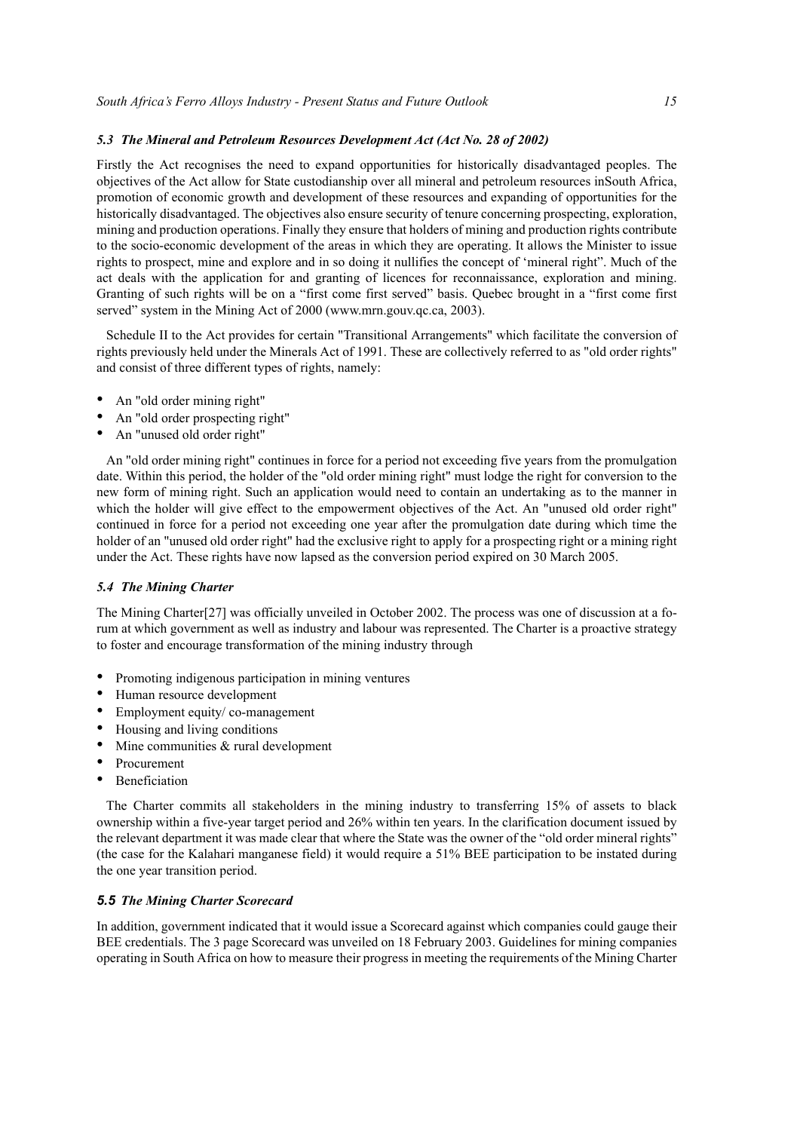# *5.3 The Mineral and Petroleum Resources Development Act (Act No. 28 of 2002)*

Firstly the Act recognises the need to expand opportunities for historically disadvantaged peoples. The objectives of the Act allow for State custodianship over all mineral and petroleum resources inSouth Africa, promotion of economic growth and development of these resources and expanding of opportunities for the historically disadvantaged. The objectives also ensure security of tenure concerning prospecting, exploration, mining and production operations. Finally they ensure that holders of mining and production rights contribute to the socio-economic development of the areas in which they are operating. It allows the Minister to issue rights to prospect, mine and explore and in so doing it nullifies the concept of 'mineral right". Much of the act deals with the application for and granting of licences for reconnaissance, exploration and mining. Granting of such rights will be on a "first come first served" basis. Quebec brought in a "first come first served" system in the Mining Act of 2000 (www.mrn.gouv.qc.ca, 2003).

Schedule II to the Act provides for certain "Transitional Arrangements" which facilitate the conversion of rights previously held under the Minerals Act of 1991. These are collectively referred to as "old order rights" and consist of three different types of rights, namely:

- An "old order mining right"
- An "old order prospecting right"
- An "unused old order right"

An "old order mining right" continues in force for a period not exceeding five years from the promulgation date. Within this period, the holder of the "old order mining right" must lodge the right for conversion to the new form of mining right. Such an application would need to contain an undertaking as to the manner in which the holder will give effect to the empowerment objectives of the Act. An "unused old order right" continued in force for a period not exceeding one year after the promulgation date during which time the holder of an "unused old order right" had the exclusive right to apply for a prospecting right or a mining right under the Act. These rights have now lapsed as the conversion period expired on 30 March 2005.

#### *5.4 The Mining Charter*

The Mining Charter[27] was officially unveiled in October 2002. The process was one of discussion at a forum at which government as well as industry and labour was represented. The Charter is a proactive strategy to foster and encourage transformation of the mining industry through

- Promoting indigenous participation in mining ventures
- Human resource development
- Employment equity/ co-management
- Housing and living conditions
- Mine communities  $&$  rural development
- Procurement
- Beneficiation

The Charter commits all stakeholders in the mining industry to transferring 15% of assets to black ownership within a five-year target period and 26% within ten years. In the clarification document issued by the relevant department it was made clear that where the State was the owner of the "old order mineral rights" (the case for the Kalahari manganese field) it would require a 51% BEE participation to be instated during the one year transition period.

## *5.5 The Mining Charter Scorecard*

In addition, government indicated that it would issue a Scorecard against which companies could gauge their BEE credentials. The 3 page Scorecard was unveiled on 18 February 2003. Guidelines for mining companies operating in South Africa on how to measure their progress in meeting the requirements of the Mining Charter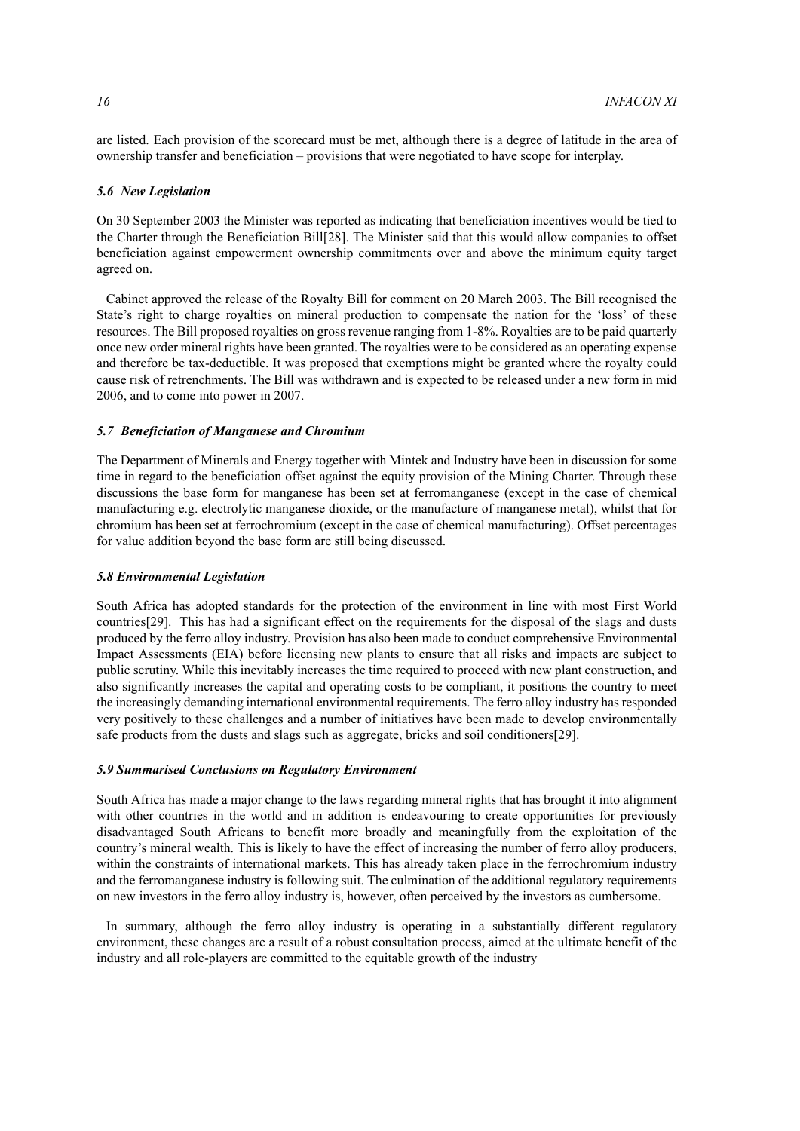are listed. Each provision of the scorecard must be met, although there is a degree of latitude in the area of ownership transfer and beneficiation – provisions that were negotiated to have scope for interplay.

#### *5.6 New Legislation*

On 30 September 2003 the Minister was reported as indicating that beneficiation incentives would be tied to the Charter through the Beneficiation Bill[28]. The Minister said that this would allow companies to offset beneficiation against empowerment ownership commitments over and above the minimum equity target agreed on.

Cabinet approved the release of the Royalty Bill for comment on 20 March 2003. The Bill recognised the State's right to charge royalties on mineral production to compensate the nation for the 'loss' of these resources. The Bill proposed royalties on gross revenue ranging from 1-8%. Royalties are to be paid quarterly once new order mineral rights have been granted. The royalties were to be considered as an operating expense and therefore be tax-deductible. It was proposed that exemptions might be granted where the royalty could cause risk of retrenchments. The Bill was withdrawn and is expected to be released under a new form in mid 2006, and to come into power in 2007.

#### *5.7 Beneficiation of Manganese and Chromium*

The Department of Minerals and Energy together with Mintek and Industry have been in discussion for some time in regard to the beneficiation offset against the equity provision of the Mining Charter. Through these discussions the base form for manganese has been set at ferromanganese (except in the case of chemical manufacturing e.g. electrolytic manganese dioxide, or the manufacture of manganese metal), whilst that for chromium has been set at ferrochromium (except in the case of chemical manufacturing). Offset percentages for value addition beyond the base form are still being discussed.

#### *5.8 Environmental Legislation*

South Africa has adopted standards for the protection of the environment in line with most First World countries[29]. This has had a significant effect on the requirements for the disposal of the slags and dusts produced by the ferro alloy industry. Provision has also been made to conduct comprehensive Environmental Impact Assessments (EIA) before licensing new plants to ensure that all risks and impacts are subject to public scrutiny. While this inevitably increases the time required to proceed with new plant construction, and also significantly increases the capital and operating costs to be compliant, it positions the country to meet the increasingly demanding international environmental requirements. The ferro alloy industry has responded very positively to these challenges and a number of initiatives have been made to develop environmentally safe products from the dusts and slags such as aggregate, bricks and soil conditioners[29].

# *5.9 Summarised Conclusions on Regulatory Environment*

South Africa has made a major change to the laws regarding mineral rights that has brought it into alignment with other countries in the world and in addition is endeavouring to create opportunities for previously disadvantaged South Africans to benefit more broadly and meaningfully from the exploitation of the country's mineral wealth. This is likely to have the effect of increasing the number of ferro alloy producers, within the constraints of international markets. This has already taken place in the ferrochromium industry and the ferromanganese industry is following suit. The culmination of the additional regulatory requirements on new investors in the ferro alloy industry is, however, often perceived by the investors as cumbersome.

In summary, although the ferro alloy industry is operating in a substantially different regulatory environment, these changes are a result of a robust consultation process, aimed at the ultimate benefit of the industry and all role-players are committed to the equitable growth of the industry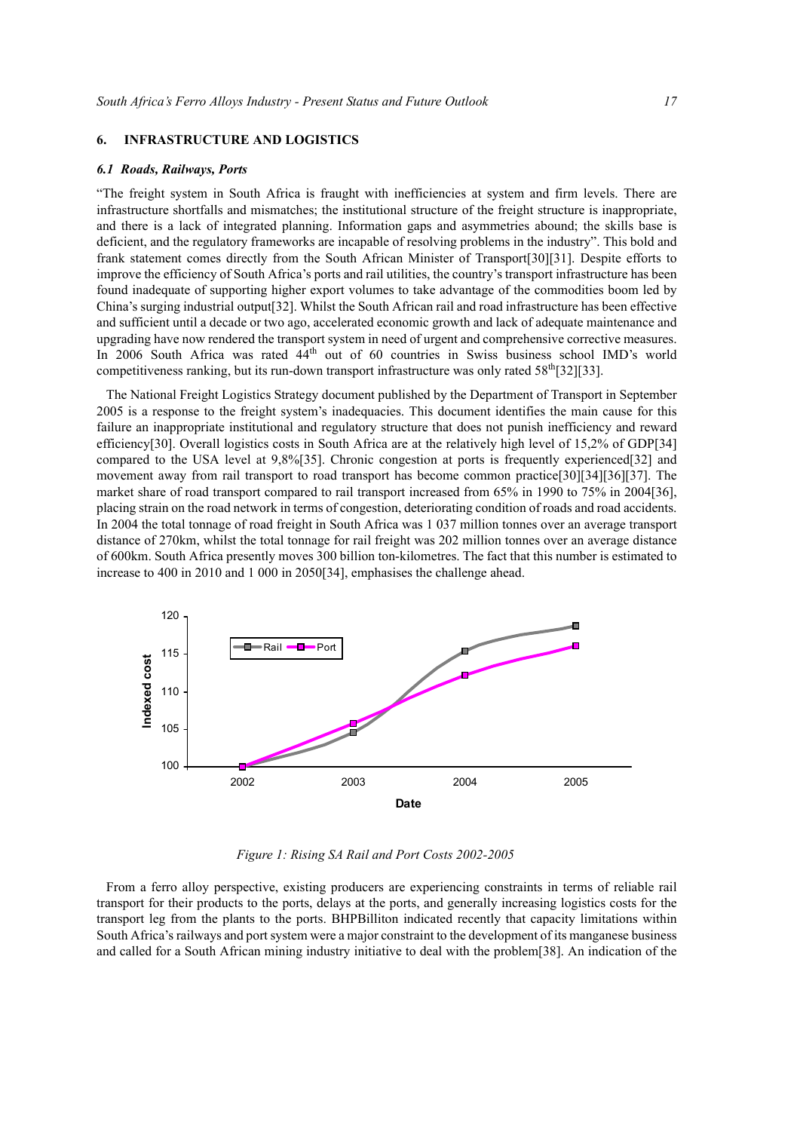# **6. INFRASTRUCTURE AND LOGISTICS**

#### *6.1 Roads, Railways, Ports*

"The freight system in South Africa is fraught with inefficiencies at system and firm levels. There are infrastructure shortfalls and mismatches; the institutional structure of the freight structure is inappropriate, and there is a lack of integrated planning. Information gaps and asymmetries abound; the skills base is deficient, and the regulatory frameworks are incapable of resolving problems in the industry". This bold and frank statement comes directly from the South African Minister of Transport[30][31]. Despite efforts to improve the efficiency of South Africa's ports and rail utilities, the country's transport infrastructure has been found inadequate of supporting higher export volumes to take advantage of the commodities boom led by China's surging industrial output[32]. Whilst the South African rail and road infrastructure has been effective and sufficient until a decade or two ago, accelerated economic growth and lack of adequate maintenance and upgrading have now rendered the transport system in need of urgent and comprehensive corrective measures. In 2006 South Africa was rated 44<sup>th</sup> out of 60 countries in Swiss business school IMD's world competitiveness ranking, but its run-down transport infrastructure was only rated  $58<sup>th</sup>[32][33]$ .

The National Freight Logistics Strategy document published by the Department of Transport in September 2005 is a response to the freight system's inadequacies. This document identifies the main cause for this failure an inappropriate institutional and regulatory structure that does not punish inefficiency and reward efficiency[30]. Overall logistics costs in South Africa are at the relatively high level of 15,2% of GDP[34] compared to the USA level at 9,8%[35]. Chronic congestion at ports is frequently experienced[32] and movement away from rail transport to road transport has become common practice[30][34][36][37]. The market share of road transport compared to rail transport increased from 65% in 1990 to 75% in 2004[36], placing strain on the road network in terms of congestion, deteriorating condition of roads and road accidents. In 2004 the total tonnage of road freight in South Africa was 1 037 million tonnes over an average transport distance of 270km, whilst the total tonnage for rail freight was 202 million tonnes over an average distance of 600km. South Africa presently moves 300 billion ton-kilometres. The fact that this number is estimated to increase to 400 in 2010 and 1 000 in 2050[34], emphasises the challenge ahead.



*Figure 1: Rising SA Rail and Port Costs 2002-2005*

From a ferro alloy perspective, existing producers are experiencing constraints in terms of reliable rail transport for their products to the ports, delays at the ports, and generally increasing logistics costs for the transport leg from the plants to the ports. BHPBilliton indicated recently that capacity limitations within South Africa's railways and port system were a major constraint to the development of its manganese business and called for a South African mining industry initiative to deal with the problem[38]. An indication of the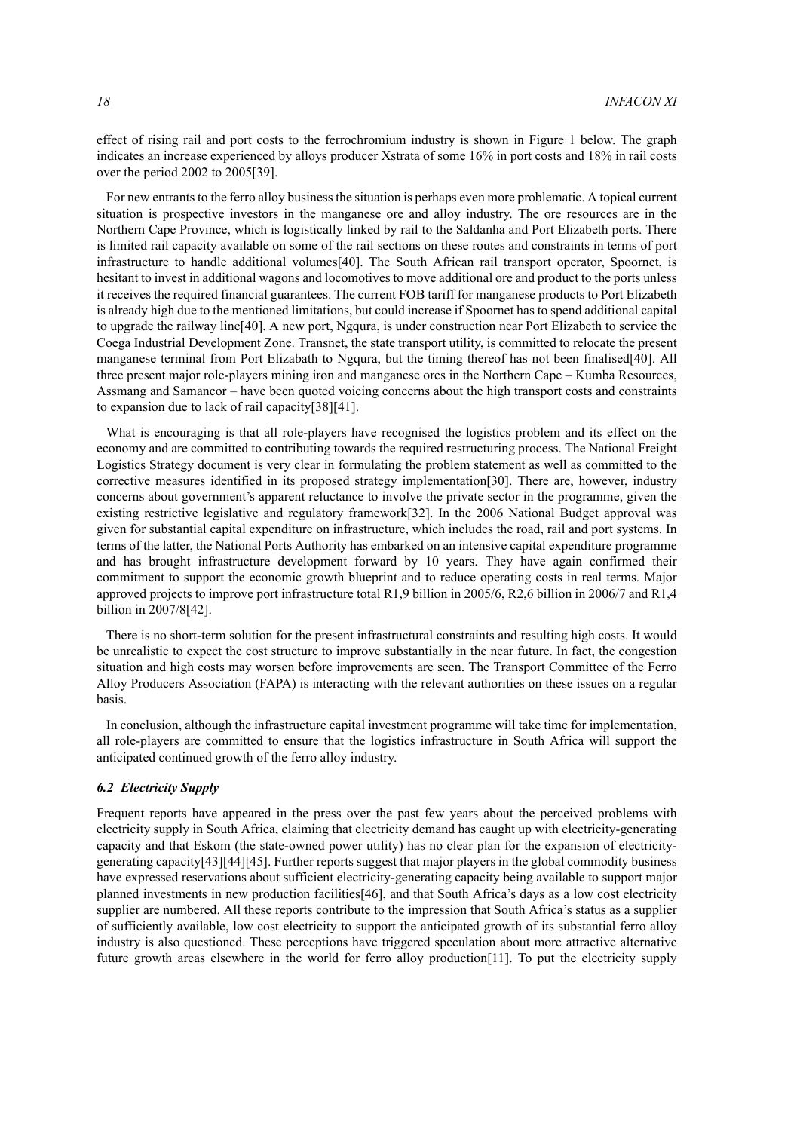effect of rising rail and port costs to the ferrochromium industry is shown in Figure 1 below. The graph indicates an increase experienced by alloys producer Xstrata of some 16% in port costs and 18% in rail costs over the period 2002 to 2005[39].

For new entrants to the ferro alloy business the situation is perhaps even more problematic. A topical current situation is prospective investors in the manganese ore and alloy industry. The ore resources are in the Northern Cape Province, which is logistically linked by rail to the Saldanha and Port Elizabeth ports. There is limited rail capacity available on some of the rail sections on these routes and constraints in terms of port infrastructure to handle additional volumes[40]. The South African rail transport operator, Spoornet, is hesitant to invest in additional wagons and locomotives to move additional ore and product to the ports unless it receives the required financial guarantees. The current FOB tariff for manganese products to Port Elizabeth is already high due to the mentioned limitations, but could increase if Spoornet has to spend additional capital to upgrade the railway line[40]. A new port, Ngqura, is under construction near Port Elizabeth to service the Coega Industrial Development Zone. Transnet, the state transport utility, is committed to relocate the present manganese terminal from Port Elizabath to Ngqura, but the timing thereof has not been finalised[40]. All three present major role-players mining iron and manganese ores in the Northern Cape – Kumba Resources, Assmang and Samancor – have been quoted voicing concerns about the high transport costs and constraints to expansion due to lack of rail capacity[38][41].

What is encouraging is that all role-players have recognised the logistics problem and its effect on the economy and are committed to contributing towards the required restructuring process. The National Freight Logistics Strategy document is very clear in formulating the problem statement as well as committed to the corrective measures identified in its proposed strategy implementation[30]. There are, however, industry concerns about government's apparent reluctance to involve the private sector in the programme, given the existing restrictive legislative and regulatory framework[32]. In the 2006 National Budget approval was given for substantial capital expenditure on infrastructure, which includes the road, rail and port systems. In terms of the latter, the National Ports Authority has embarked on an intensive capital expenditure programme and has brought infrastructure development forward by 10 years. They have again confirmed their commitment to support the economic growth blueprint and to reduce operating costs in real terms. Major approved projects to improve port infrastructure total R1,9 billion in 2005/6, R2,6 billion in 2006/7 and R1,4 billion in 2007/8[42].

There is no short-term solution for the present infrastructural constraints and resulting high costs. It would be unrealistic to expect the cost structure to improve substantially in the near future. In fact, the congestion situation and high costs may worsen before improvements are seen. The Transport Committee of the Ferro Alloy Producers Association (FAPA) is interacting with the relevant authorities on these issues on a regular basis.

In conclusion, although the infrastructure capital investment programme will take time for implementation, all role-players are committed to ensure that the logistics infrastructure in South Africa will support the anticipated continued growth of the ferro alloy industry.

## *6.2 Electricity Supply*

Frequent reports have appeared in the press over the past few years about the perceived problems with electricity supply in South Africa, claiming that electricity demand has caught up with electricity-generating capacity and that Eskom (the state-owned power utility) has no clear plan for the expansion of electricitygenerating capacity[43][44][45]. Further reports suggest that major players in the global commodity business have expressed reservations about sufficient electricity-generating capacity being available to support major planned investments in new production facilities[46], and that South Africa's days as a low cost electricity supplier are numbered. All these reports contribute to the impression that South Africa's status as a supplier of sufficiently available, low cost electricity to support the anticipated growth of its substantial ferro alloy industry is also questioned. These perceptions have triggered speculation about more attractive alternative future growth areas elsewhere in the world for ferro alloy production[11]. To put the electricity supply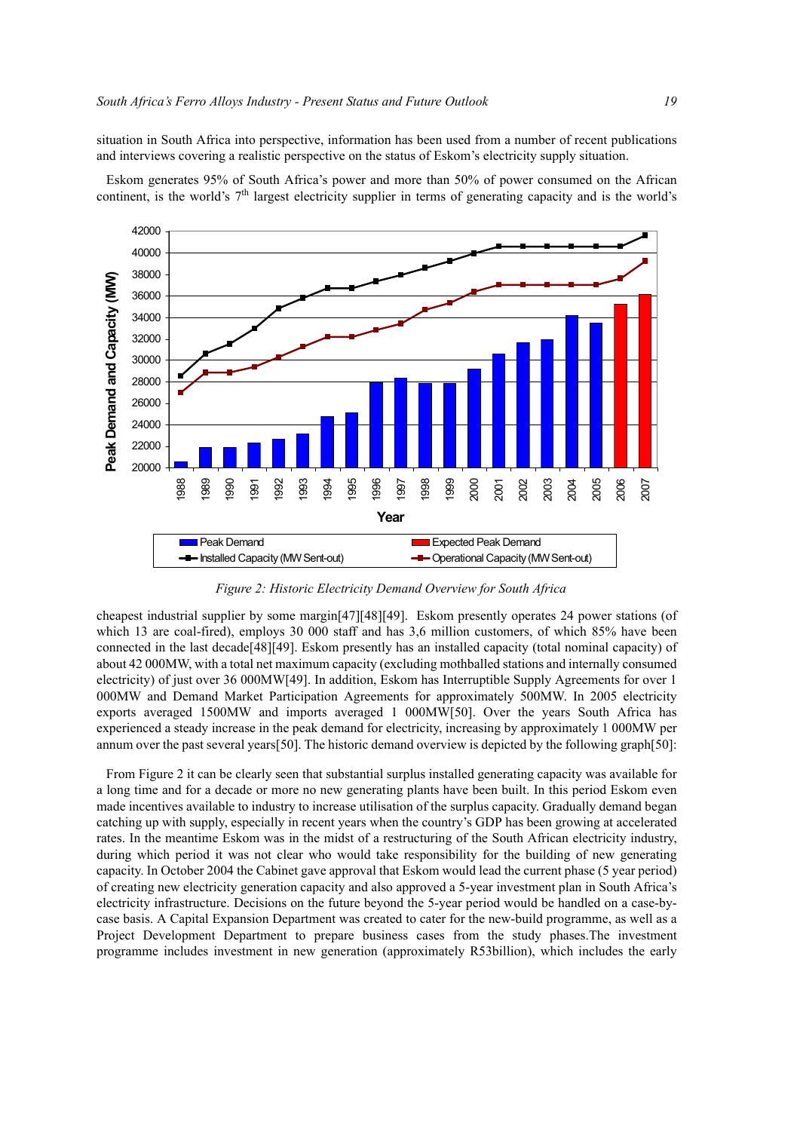situation in South Africa into perspective, information has been used from a number of recent publications and interviews covering a realistic perspective on the status of Eskom's electricity supply situation.



Eskom generates 95% of South Africa's power and more than 50% of power consumed on the African continent, is the world's  $7<sup>th</sup>$  largest electricity supplier in terms of generating capacity and is the world's

*Figure 2: Historic Electricity Demand Overview for South Africa*

cheapest industrial supplier by some margin[47][48][49]. Eskom presently operates 24 power stations (of which 13 are coal-fired), employs 30 000 staff and has 3,6 million customers, of which 85% have been connected in the last decade[48][49]. Eskom presently has an installed capacity (total nominal capacity) of about 42 000MW, with a total net maximum capacity (excluding mothballed stations and internally consumed electricity) of just over 36 000MW[49]. In addition, Eskom has Interruptible Supply Agreements for over 1 000MW and Demand Market Participation Agreements for approximately 500MW. In 2005 electricity exports averaged 1500MW and imports averaged 1 000MW[50]. Over the years South Africa has experienced a steady increase in the peak demand for electricity, increasing by approximately 1 000MW per annum over the past several years[50]. The historic demand overview is depicted by the following graph[50]:

From Figure 2 it can be clearly seen that substantial surplus installed generating capacity was available for a long time and for a decade or more no new generating plants have been built. In this period Eskom even made incentives available to industry to increase utilisation of the surplus capacity. Gradually demand began catching up with supply, especially in recent years when the country's GDP has been growing at accelerated rates. In the meantime Eskom was in the midst of a restructuring of the South African electricity industry, during which period it was not clear who would take responsibility for the building of new generating capacity. In October 2004 the Cabinet gave approval that Eskom would lead the current phase (5 year period) of creating new electricity generation capacity and also approved a 5-year investment plan in South Africa's electricity infrastructure. Decisions on the future beyond the 5-year period would be handled on a case-bycase basis. A Capital Expansion Department was created to cater for the new-build programme, as well as a Project Development Department to prepare business cases from the study phases.The investment programme includes investment in new generation (approximately R53billion), which includes the early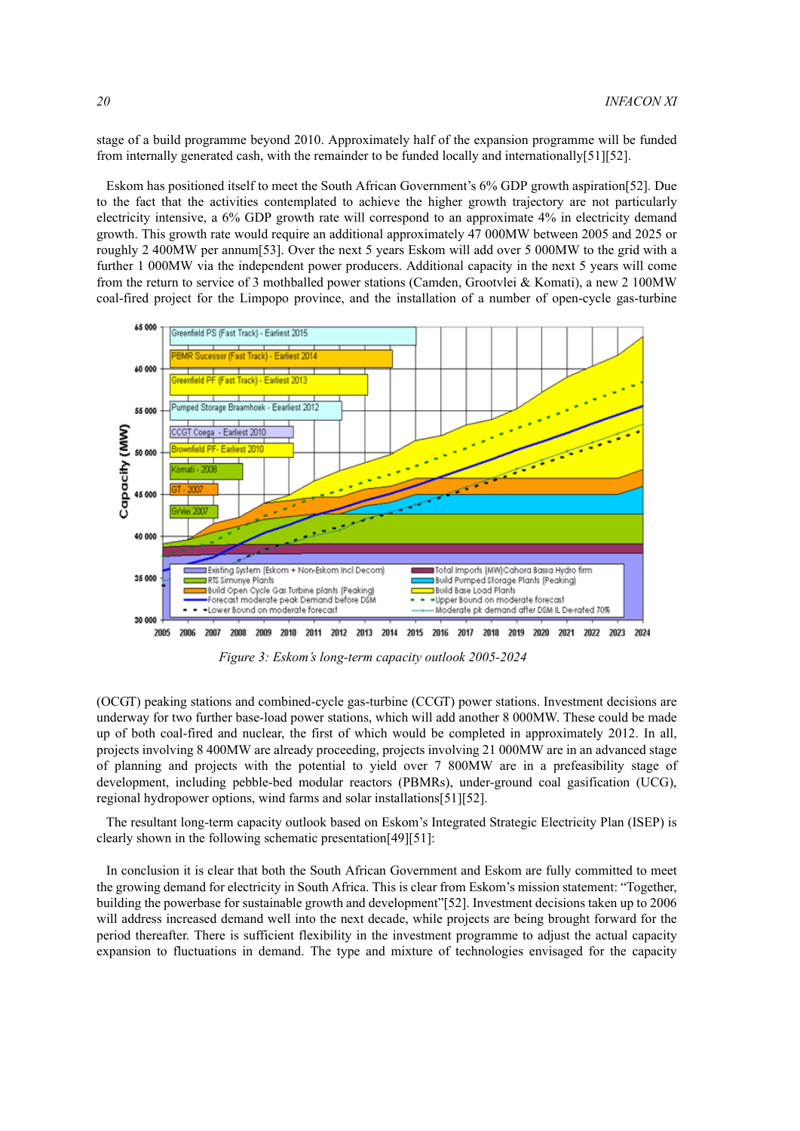stage of a build programme beyond 2010. Approximately half of the expansion programme will be funded from internally generated cash, with the remainder to be funded locally and internationally[51][52].

Eskom has positioned itself to meet the South African Government's 6% GDP growth aspiration[52]. Due to the fact that the activities contemplated to achieve the higher growth trajectory are not particularly electricity intensive, a 6% GDP growth rate will correspond to an approximate 4% in electricity demand growth. This growth rate would require an additional approximately 47 000MW between 2005 and 2025 or roughly 2 400MW per annum[53]. Over the next 5 years Eskom will add over 5 000MW to the grid with a further 1 000MW via the independent power producers. Additional capacity in the next 5 years will come from the return to service of 3 mothballed power stations (Camden, Grootvlei & Komati), a new 2 100MW coal-fired project for the Limpopo province, and the installation of a number of open-cycle gas-turbine



*Figure 3: Eskom's long-term capacity outlook 2005-2024*

(OCGT) peaking stations and combined-cycle gas-turbine (CCGT) power stations. Investment decisions are underway for two further base-load power stations, which will add another 8 000MW. These could be made up of both coal-fired and nuclear, the first of which would be completed in approximately 2012. In all, projects involving 8 400MW are already proceeding, projects involving 21 000MW are in an advanced stage of planning and projects with the potential to yield over 7 800MW are in a prefeasibility stage of development, including pebble-bed modular reactors (PBMRs), under-ground coal gasification (UCG), regional hydropower options, wind farms and solar installations[51][52].

The resultant long-term capacity outlook based on Eskom's Integrated Strategic Electricity Plan (ISEP) is clearly shown in the following schematic presentation[49][51]:

In conclusion it is clear that both the South African Government and Eskom are fully committed to meet the growing demand for electricity in South Africa. This is clear from Eskom's mission statement: "Together, building the powerbase for sustainable growth and development"[52]. Investment decisions taken up to 2006 will address increased demand well into the next decade, while projects are being brought forward for the period thereafter. There is sufficient flexibility in the investment programme to adjust the actual capacity expansion to fluctuations in demand. The type and mixture of technologies envisaged for the capacity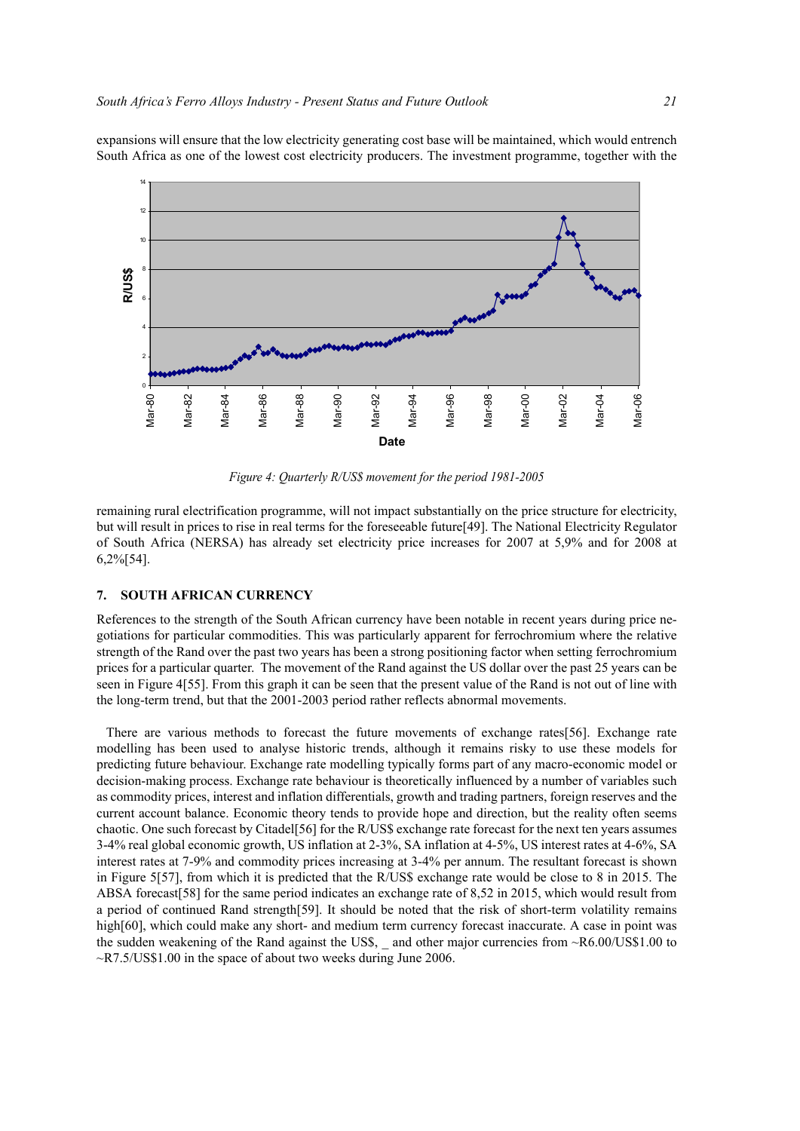expansions will ensure that the low electricity generating cost base will be maintained, which would entrench South Africa as one of the lowest cost electricity producers. The investment programme, together with the



*Figure 4: Quarterly R/US\$ movement for the period 1981-2005*

remaining rural electrification programme, will not impact substantially on the price structure for electricity, but will result in prices to rise in real terms for the foreseeable future[49]. The National Electricity Regulator of South Africa (NERSA) has already set electricity price increases for 2007 at 5,9% and for 2008 at 6,2%[54].

# **7. SOUTH AFRICAN CURRENCY**

References to the strength of the South African currency have been notable in recent years during price negotiations for particular commodities. This was particularly apparent for ferrochromium where the relative strength of the Rand over the past two years has been a strong positioning factor when setting ferrochromium prices for a particular quarter. The movement of the Rand against the US dollar over the past 25 years can be seen in Figure 4[55]. From this graph it can be seen that the present value of the Rand is not out of line with the long-term trend, but that the 2001-2003 period rather reflects abnormal movements.

There are various methods to forecast the future movements of exchange rates[56]. Exchange rate modelling has been used to analyse historic trends, although it remains risky to use these models for predicting future behaviour. Exchange rate modelling typically forms part of any macro-economic model or decision-making process. Exchange rate behaviour is theoretically influenced by a number of variables such as commodity prices, interest and inflation differentials, growth and trading partners, foreign reserves and the current account balance. Economic theory tends to provide hope and direction, but the reality often seems chaotic. One such forecast by Citadel[56] for the R/US\$ exchange rate forecast for the next ten years assumes 3-4% real global economic growth, US inflation at 2-3%, SA inflation at 4-5%, US interest rates at 4-6%, SA interest rates at 7-9% and commodity prices increasing at 3-4% per annum. The resultant forecast is shown in Figure 5[57], from which it is predicted that the R/US\$ exchange rate would be close to 8 in 2015. The ABSA forecast[58] for the same period indicates an exchange rate of 8,52 in 2015, which would result from a period of continued Rand strength[59]. It should be noted that the risk of short-term volatility remains high[60], which could make any short- and medium term currency forecast inaccurate. A case in point was the sudden weakening of the Rand against the US\$, \_ and other major currencies from ~R6.00/US\$1.00 to ~R7.5/US\$1.00 in the space of about two weeks during June 2006.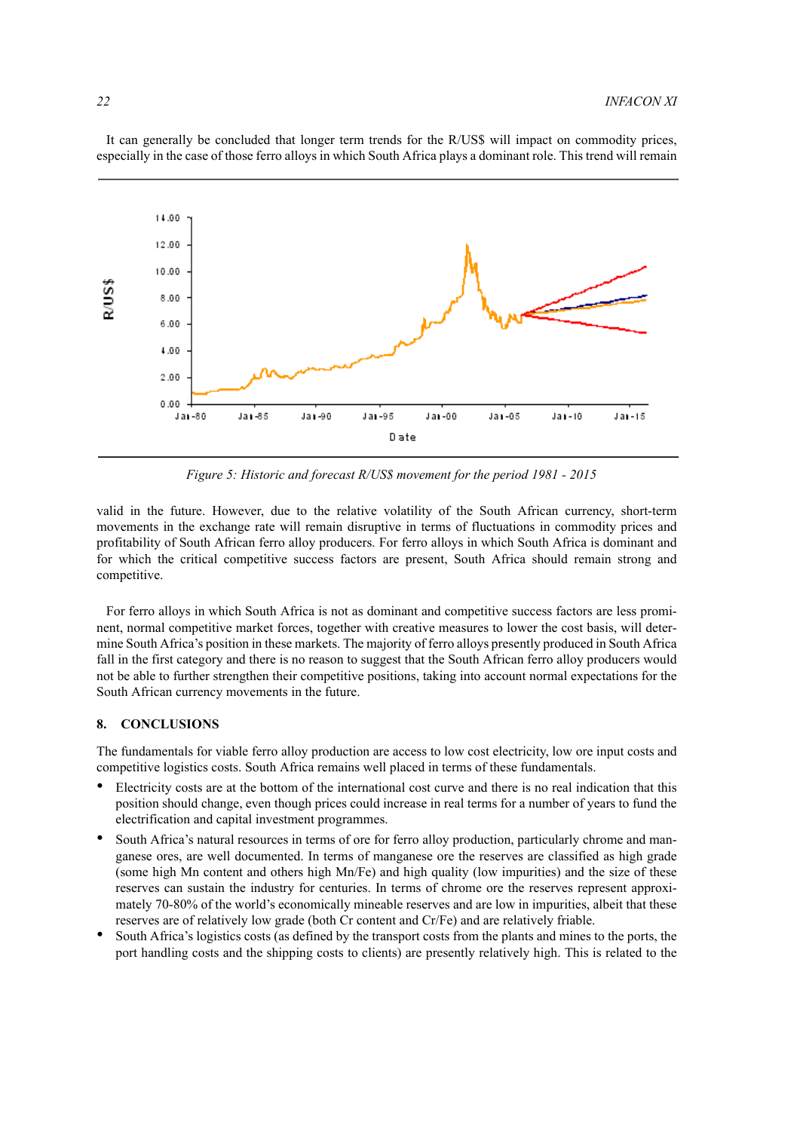

It can generally be concluded that longer term trends for the R/US\$ will impact on commodity prices, especially in the case of those ferro alloys in which South Africa plays a dominant role. This trend will remain

*Figure 5: Historic and forecast R/US\$ movement for the period 1981 - 2015*

valid in the future. However, due to the relative volatility of the South African currency, short-term movements in the exchange rate will remain disruptive in terms of fluctuations in commodity prices and profitability of South African ferro alloy producers. For ferro alloys in which South Africa is dominant and for which the critical competitive success factors are present, South Africa should remain strong and competitive.

For ferro alloys in which South Africa is not as dominant and competitive success factors are less prominent, normal competitive market forces, together with creative measures to lower the cost basis, will determine South Africa's position in these markets. The majority of ferro alloys presently produced in South Africa fall in the first category and there is no reason to suggest that the South African ferro alloy producers would not be able to further strengthen their competitive positions, taking into account normal expectations for the South African currency movements in the future.

#### **8. CONCLUSIONS**

The fundamentals for viable ferro alloy production are access to low cost electricity, low ore input costs and competitive logistics costs. South Africa remains well placed in terms of these fundamentals.

- Electricity costs are at the bottom of the international cost curve and there is no real indication that this position should change, even though prices could increase in real terms for a number of years to fund the electrification and capital investment programmes.
- South Africa's natural resources in terms of ore for ferro alloy production, particularly chrome and manganese ores, are well documented. In terms of manganese ore the reserves are classified as high grade (some high Mn content and others high Mn/Fe) and high quality (low impurities) and the size of these reserves can sustain the industry for centuries. In terms of chrome ore the reserves represent approximately 70-80% of the world's economically mineable reserves and are low in impurities, albeit that these reserves are of relatively low grade (both Cr content and Cr/Fe) and are relatively friable.
- South Africa's logistics costs (as defined by the transport costs from the plants and mines to the ports, the port handling costs and the shipping costs to clients) are presently relatively high. This is related to the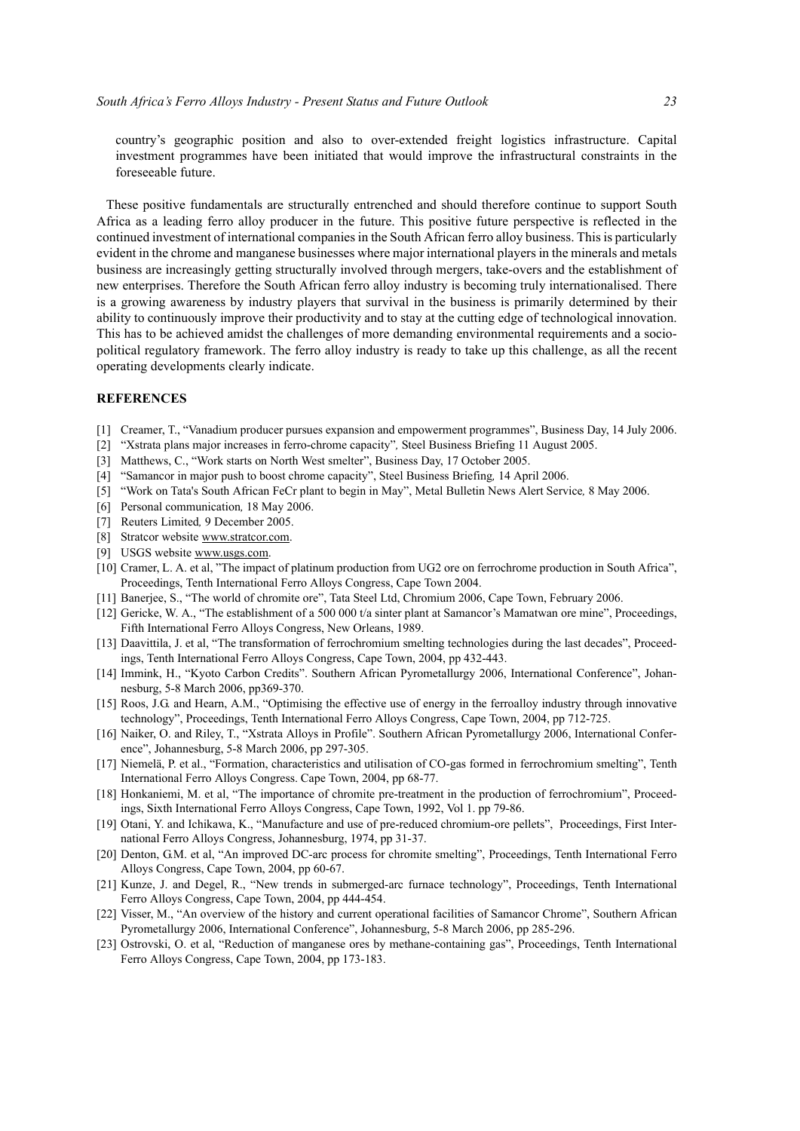country's geographic position and also to over-extended freight logistics infrastructure. Capital investment programmes have been initiated that would improve the infrastructural constraints in the foreseeable future.

These positive fundamentals are structurally entrenched and should therefore continue to support South Africa as a leading ferro alloy producer in the future. This positive future perspective is reflected in the continued investment of international companies in the South African ferro alloy business. This is particularly evident in the chrome and manganese businesses where major international players in the minerals and metals business are increasingly getting structurally involved through mergers, take-overs and the establishment of new enterprises. Therefore the South African ferro alloy industry is becoming truly internationalised. There is a growing awareness by industry players that survival in the business is primarily determined by their ability to continuously improve their productivity and to stay at the cutting edge of technological innovation. This has to be achieved amidst the challenges of more demanding environmental requirements and a sociopolitical regulatory framework. The ferro alloy industry is ready to take up this challenge, as all the recent operating developments clearly indicate.

### **REFERENCES**

- [1] Creamer, T., "Vanadium producer pursues expansion and empowerment programmes", Business Day, 14 July 2006.
- [2] "Xstrata plans major increases in ferro-chrome capacity"*,* Steel Business Briefing 11 August 2005.
- [3] Matthews, C., "Work starts on North West smelter", Business Day, 17 October 2005.
- [4] "Samancor in major push to boost chrome capacity", Steel Business Briefing*,* 14 April 2006.
- [5] "Work on Tata's South African FeCr plant to begin in May", Metal Bulletin News Alert Service*,* 8 May 2006.
- [6] Personal communication*,* 18 May 2006.
- [7] Reuters Limited*,* 9 December 2005.
- [8] Stratcor website www.stratcor.com.
- [9] USGS website www.usgs.com.
- [10] Cramer, L. A. et al, "The impact of platinum production from UG2 ore on ferrochrome production in South Africa", Proceedings, Tenth International Ferro Alloys Congress, Cape Town 2004.
- [11] Banerjee, S., "The world of chromite ore", Tata Steel Ltd, Chromium 2006, Cape Town, February 2006.
- [12] Gericke, W. A., "The establishment of a 500 000 t/a sinter plant at Samancor's Mamatwan ore mine", Proceedings, Fifth International Ferro Alloys Congress, New Orleans, 1989.
- [13] Daavittila, J. et al, "The transformation of ferrochromium smelting technologies during the last decades", Proceedings, Tenth International Ferro Alloys Congress, Cape Town, 2004, pp 432-443.
- [14] Immink, H., "Kyoto Carbon Credits". Southern African Pyrometallurgy 2006, International Conference", Johannesburg, 5-8 March 2006, pp369-370.
- [15] Roos, J.G. and Hearn, A.M., "Optimising the effective use of energy in the ferroalloy industry through innovative technology", Proceedings, Tenth International Ferro Alloys Congress, Cape Town, 2004, pp 712-725.
- [16] Naiker, O. and Riley, T., "Xstrata Alloys in Profile". Southern African Pyrometallurgy 2006, International Conference", Johannesburg, 5-8 March 2006, pp 297-305.
- [17] Niemelä, P. et al., "Formation, characteristics and utilisation of CO-gas formed in ferrochromium smelting", Tenth International Ferro Alloys Congress. Cape Town, 2004, pp 68-77.
- [18] Honkaniemi, M. et al, "The importance of chromite pre-treatment in the production of ferrochromium", Proceedings, Sixth International Ferro Alloys Congress, Cape Town, 1992, Vol 1. pp 79-86.
- [19] Otani, Y. and Ichikawa, K., "Manufacture and use of pre-reduced chromium-ore pellets", Proceedings, First International Ferro Alloys Congress, Johannesburg, 1974, pp 31-37.
- [20] Denton, G.M. et al, "An improved DC-arc process for chromite smelting", Proceedings, Tenth International Ferro Alloys Congress, Cape Town, 2004, pp 60-67.
- [21] Kunze, J. and Degel, R., "New trends in submerged-arc furnace technology", Proceedings, Tenth International Ferro Alloys Congress, Cape Town, 2004, pp 444-454.
- [22] Visser, M., "An overview of the history and current operational facilities of Samancor Chrome", Southern African Pyrometallurgy 2006, International Conference", Johannesburg, 5-8 March 2006, pp 285-296.
- [23] Ostrovski, O. et al, "Reduction of manganese ores by methane-containing gas", Proceedings, Tenth International Ferro Alloys Congress, Cape Town, 2004, pp 173-183.